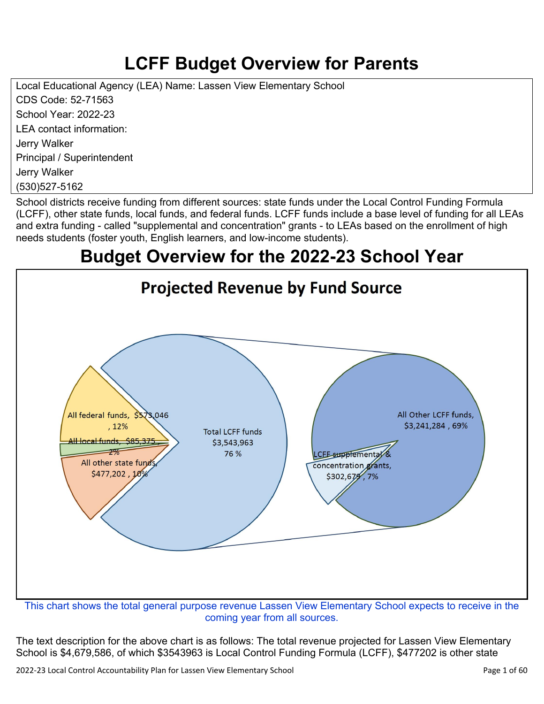# **LCFF Budget Overview for Parents**

Local Educational Agency (LEA) Name: Lassen View Elementary School CDS Code: 52-71563 School Year: 2022-23 LEA contact information: Jerry Walker Principal / Superintendent Jerry Walker (530)527-5162

School districts receive funding from different sources: state funds under the Local Control Funding Formula (LCFF), other state funds, local funds, and federal funds. LCFF funds include a base level of funding for all LEAs and extra funding - called "supplemental and concentration" grants - to LEAs based on the enrollment of high needs students (foster youth, English learners, and low-income students).

## **Budget Overview for the 2022-23 School Year**



coming year from all sources.

The text description for the above chart is as follows: The total revenue projected for Lassen View Elementary School is \$4,679,586, of which \$3543963 is Local Control Funding Formula (LCFF), \$477202 is other state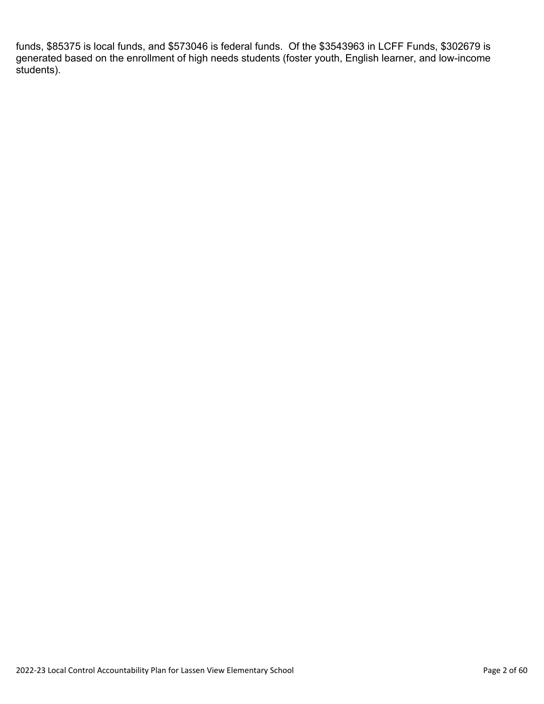funds, \$85375 is local funds, and \$573046 is federal funds. Of the \$3543963 in LCFF Funds, \$302679 is generated based on the enrollment of high needs students (foster youth, English learner, and low-income students).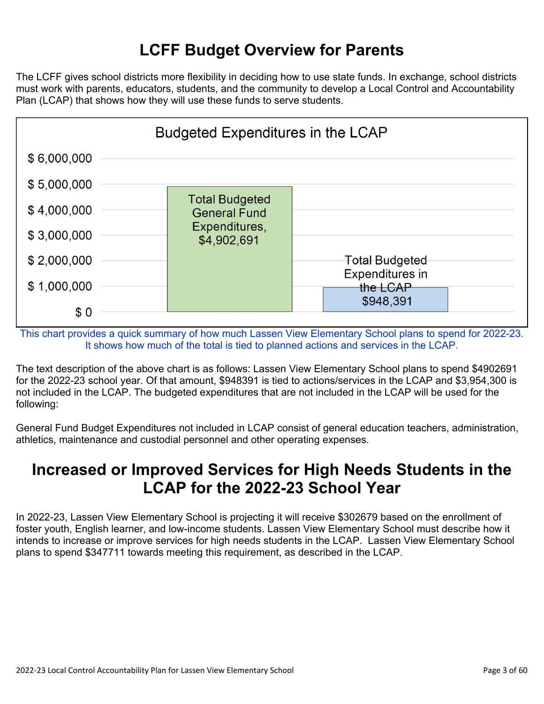## **LCFF Budget Overview for Parents**

The LCFF gives school districts more flexibility in deciding how to use state funds. In exchange, school districts must work with parents, educators, students, and the community to develop a Local Control and Accountability Plan (LCAP) that shows how they will use these funds to serve students.



This chart provides a quick summary of how much Lassen View Elementary School plans to spend for 2022-23. It shows how much of the total is tied to planned actions and services in the LCAP.

The text description of the above chart is as follows: Lassen View Elementary School plans to spend \$4902691 for the 2022-23 school year. Of that amount, \$948391 is tied to actions/services in the LCAP and \$3,954,300 is not included in the LCAP. The budgeted expenditures that are not included in the LCAP will be used for the following:

General Fund Budget Expenditures not included in LCAP consist of general education teachers, administration, athletics, maintenance and custodial personnel and other operating expenses.

### **Increased or Improved Services for High Needs Students in the LCAP for the 2022-23 School Year**

In 2022-23, Lassen View Elementary School is projecting it will receive \$302679 based on the enrollment of foster youth, English learner, and low-income students. Lassen View Elementary School must describe how it intends to increase or improve services for high needs students in the LCAP. Lassen View Elementary School plans to spend \$347711 towards meeting this requirement, as described in the LCAP.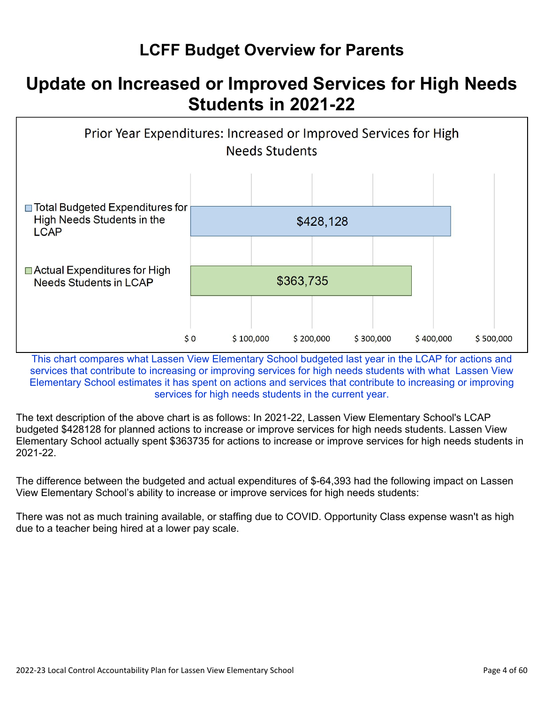## **LCFF Budget Overview for Parents**

## **Update on Increased or Improved Services for High Needs Students in 2021-22**



This chart compares what Lassen View Elementary School budgeted last year in the LCAP for actions and services that contribute to increasing or improving services for high needs students with what Lassen View Elementary School estimates it has spent on actions and services that contribute to increasing or improving services for high needs students in the current year.

The text description of the above chart is as follows: In 2021-22, Lassen View Elementary School's LCAP budgeted \$428128 for planned actions to increase or improve services for high needs students. Lassen View Elementary School actually spent \$363735 for actions to increase or improve services for high needs students in 2021-22.

The difference between the budgeted and actual expenditures of \$-64,393 had the following impact on Lassen View Elementary School's ability to increase or improve services for high needs students:

There was not as much training available, or staffing due to COVID. Opportunity Class expense wasn't as high due to a teacher being hired at a lower pay scale.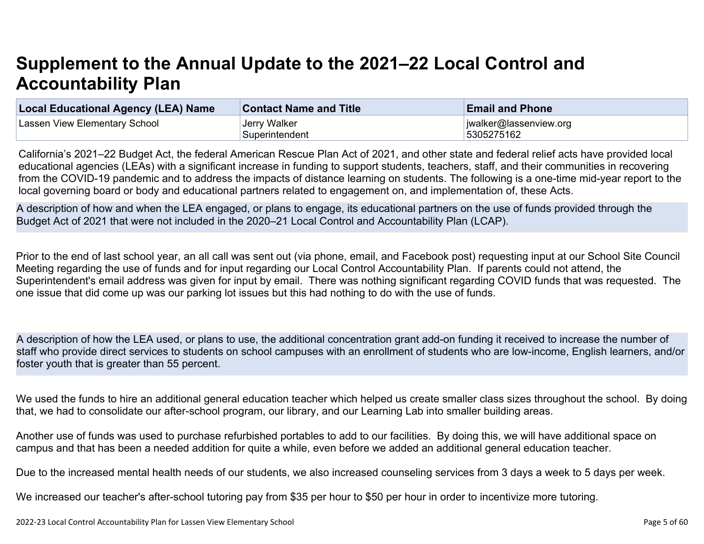# **Supplement to the Annual Update to the 2021–22 Local Control and Accountability Plan**

| <b>Local Educational Agency (LEA) Name</b> | <b>Contact Name and Title</b> | <b>Email and Phone</b> |
|--------------------------------------------|-------------------------------|------------------------|
| Lassen View Elementary School              | Jerry Walker                  | jwalker@lassenview.org |
|                                            | Superintendent                | 5305275162             |

California's 2021–22 Budget Act, the federal American Rescue Plan Act of 2021, and other state and federal relief acts have provided local educational agencies (LEAs) with a significant increase in funding to support students, teachers, staff, and their communities in recovering from the COVID-19 pandemic and to address the impacts of distance learning on students. The following is a one-time mid-year report to the local governing board or body and educational partners related to engagement on, and implementation of, these Acts.

A description of how and when the LEA engaged, or plans to engage, its educational partners on the use of funds provided through the Budget Act of 2021 that were not included in the 2020–21 Local Control and Accountability Plan (LCAP).

Prior to the end of last school year, an all call was sent out (via phone, email, and Facebook post) requesting input at our School Site Council Meeting regarding the use of funds and for input regarding our Local Control Accountability Plan. If parents could not attend, the Superintendent's email address was given for input by email. There was nothing significant regarding COVID funds that was requested. The one issue that did come up was our parking lot issues but this had nothing to do with the use of funds.

A description of how the LEA used, or plans to use, the additional concentration grant add-on funding it received to increase the number of staff who provide direct services to students on school campuses with an enrollment of students who are low-income, English learners, and/or foster youth that is greater than 55 percent.

We used the funds to hire an additional general education teacher which helped us create smaller class sizes throughout the school. By doing that, we had to consolidate our after-school program, our library, and our Learning Lab into smaller building areas.

Another use of funds was used to purchase refurbished portables to add to our facilities. By doing this, we will have additional space on campus and that has been a needed addition for quite a while, even before we added an additional general education teacher.

Due to the increased mental health needs of our students, we also increased counseling services from 3 days a week to 5 days per week.

We increased our teacher's after-school tutoring pay from \$35 per hour to \$50 per hour in order to incentivize more tutoring.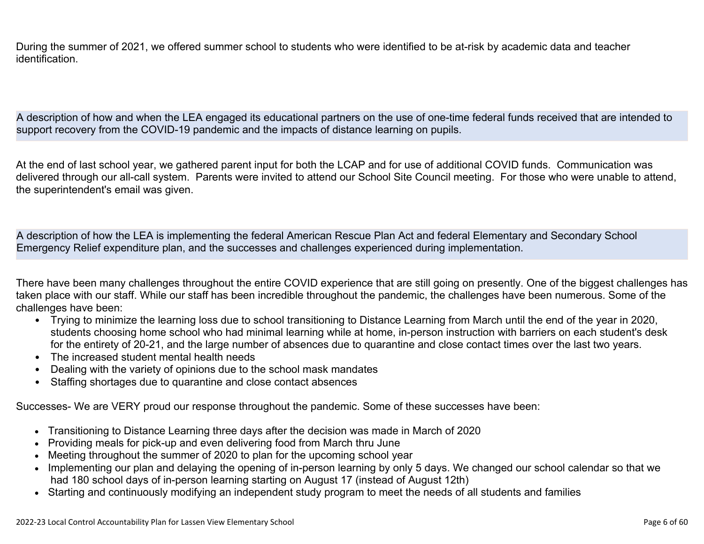During the summer of 2021, we offered summer school to students who were identified to be at-risk by academic data and teacher identification.

A description of how and when the LEA engaged its educational partners on the use of one-time federal funds received that are intended to support recovery from the COVID-19 pandemic and the impacts of distance learning on pupils.

At the end of last school year, we gathered parent input for both the LCAP and for use of additional COVID funds. Communication was delivered through our all-call system. Parents were invited to attend our School Site Council meeting. For those who were unable to attend, the superintendent's email was given.

A description of how the LEA is implementing the federal American Rescue Plan Act and federal Elementary and Secondary School Emergency Relief expenditure plan, and the successes and challenges experienced during implementation.

There have been many challenges throughout the entire COVID experience that are still going on presently. One of the biggest challenges has taken place with our staff. While our staff has been incredible throughout the pandemic, the challenges have been numerous. Some of the challenges have been:

- Trying to minimize the learning loss due to school transitioning to Distance Learning from March until the end of the year in 2020, students choosing home school who had minimal learning while at home, in-person instruction with barriers on each student's desk for the entirety of 20-21, and the large number of absences due to quarantine and close contact times over the last two years.
- The increased student mental health needs
- Dealing with the variety of opinions due to the school mask mandates
- Staffing shortages due to quarantine and close contact absences

Successes- We are VERY proud our response throughout the pandemic. Some of these successes have been:

- Transitioning to Distance Learning three days after the decision was made in March of 2020
- Providing meals for pick-up and even delivering food from March thru June
- Meeting throughout the summer of 2020 to plan for the upcoming school year
- Implementing our plan and delaying the opening of in-person learning by only 5 days. We changed our school calendar so that we had 180 school days of in-person learning starting on August 17 (instead of August 12th)
- Starting and continuously modifying an independent study program to meet the needs of all students and families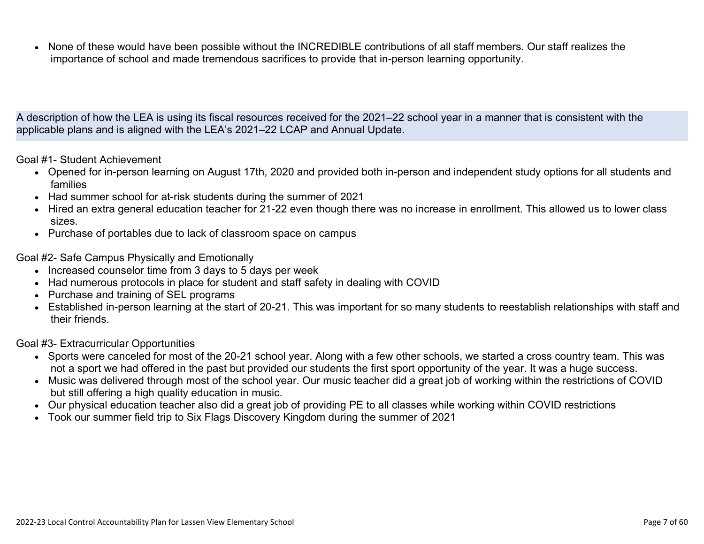• None of these would have been possible without the INCREDIBLE contributions of all staff members. Our staff realizes the importance of school and made tremendous sacrifices to provide that in-person learning opportunity.

A description of how the LEA is using its fiscal resources received for the 2021–22 school year in a manner that is consistent with the applicable plans and is aligned with the LEA's 2021–22 LCAP and Annual Update.

Goal #1- Student Achievement

- Opened for in-person learning on August 17th, 2020 and provided both in-person and independent study options for all students and families
- Had summer school for at-risk students during the summer of 2021
- Hired an extra general education teacher for 21-22 even though there was no increase in enrollment. This allowed us to lower class sizes.
- Purchase of portables due to lack of classroom space on campus

Goal #2- Safe Campus Physically and Emotionally

- Increased counselor time from 3 days to 5 days per week
- Had numerous protocols in place for student and staff safety in dealing with COVID
- Purchase and training of SEL programs
- Established in-person learning at the start of 20-21. This was important for so many students to reestablish relationships with staff and their friends.

Goal #3- Extracurricular Opportunities

- Sports were canceled for most of the 20-21 school year. Along with a few other schools, we started a cross country team. This was not a sport we had offered in the past but provided our students the first sport opportunity of the year. It was a huge success.
- Music was delivered through most of the school year. Our music teacher did a great job of working within the restrictions of COVID but still offering a high quality education in music.
- Our physical education teacher also did a great job of providing PE to all classes while working within COVID restrictions
- Took our summer field trip to Six Flags Discovery Kingdom during the summer of 2021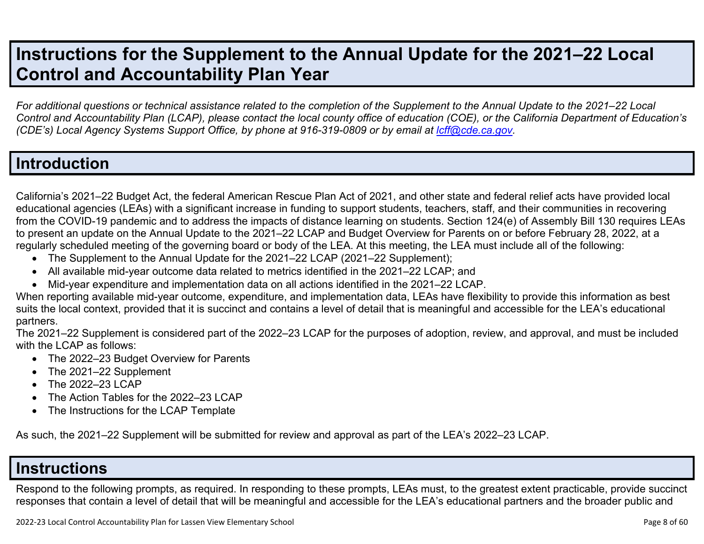## **Instructions for the Supplement to the Annual Update for the 2021–22 Local Control and Accountability Plan Year**

*For additional questions or technical assistance related to the completion of the Supplement to the Annual Update to the 2021–22 Local Control and Accountability Plan (LCAP), please contact the local county office of education (COE), or the California Department of Education's (CDE's)* Local Agency Systems Support Office, by phone at 916-319-0809 or by email at *[lcff@cde.ca.gov](mailto:lcff@cde.ca.gov)*.

### **Introduction**

California's 2021–22 Budget Act, the federal American Rescue Plan Act of 2021, and other state and federal relief acts have provided local educational agencies (LEAs) with a significant increase in funding to support students, teachers, staff, and their communities in recovering from the COVID-19 pandemic and to address the impacts of distance learning on students. Section 124(e) of Assembly Bill 130 requires LEAs to present an update on the Annual Update to the 2021–22 LCAP and Budget Overview for Parents on or before February 28, 2022, at a regularly scheduled meeting of the governing board or body of the LEA. At this meeting, the LEA must include all of the following:

- The Supplement to the Annual Update for the 2021–22 LCAP (2021–22 Supplement);
- All available mid-year outcome data related to metrics identified in the 2021–22 LCAP; and
- Mid-year expenditure and implementation data on all actions identified in the 2021–22 LCAP.

When reporting available mid-year outcome, expenditure, and implementation data, LEAs have flexibility to provide this information as best suits the local context, provided that it is succinct and contains a level of detail that is meaningful and accessible for the LEA's educational partners.

The 2021–22 Supplement is considered part of the 2022–23 LCAP for the purposes of adoption, review, and approval, and must be included with the LCAP as follows:

- The 2022–23 Budget Overview for Parents
- The 2021-22 Supplement
- The 2022-23 LCAP
- The Action Tables for the 2022–23 LCAP
- The Instructions for the LCAP Template

As such, the 2021–22 Supplement will be submitted for review and approval as part of the LEA's 2022–23 LCAP.

### **Instructions**

Respond to the following prompts, as required. In responding to these prompts, LEAs must, to the greatest extent practicable, provide succinct responses that contain a level of detail that will be meaningful and accessible for the LEA's educational partners and the broader public and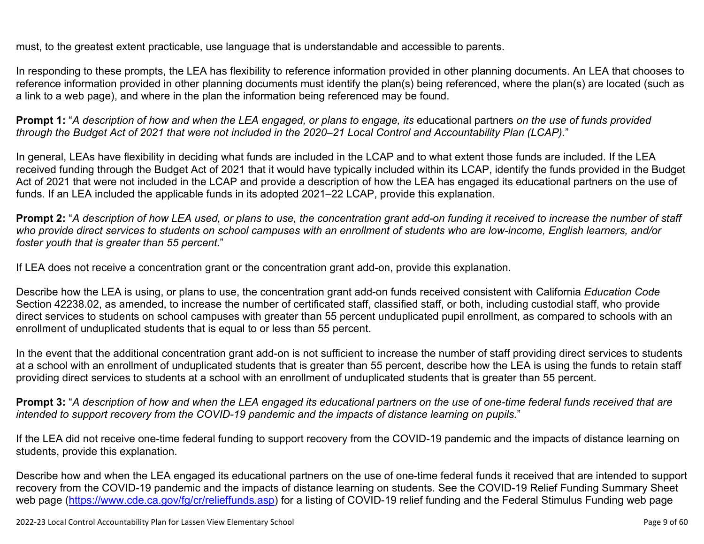must, to the greatest extent practicable, use language that is understandable and accessible to parents.

In responding to these prompts, the LEA has flexibility to reference information provided in other planning documents. An LEA that chooses to reference information provided in other planning documents must identify the plan(s) being referenced, where the plan(s) are located (such as a link to a web page), and where in the plan the information being referenced may be found.

**Prompt 1:** "*A description of how and when the LEA engaged, or plans to engage, its* educational partners *on the use of funds provided through the Budget Act of 2021 that were not included in the 2020–21 Local Control and Accountability Plan (LCAP).*"

In general, LEAs have flexibility in deciding what funds are included in the LCAP and to what extent those funds are included. If the LEA received funding through the Budget Act of 2021 that it would have typically included within its LCAP, identify the funds provided in the Budget Act of 2021 that were not included in the LCAP and provide a description of how the LEA has engaged its educational partners on the use of funds. If an LEA included the applicable funds in its adopted 2021–22 LCAP, provide this explanation.

**Prompt 2:** "*A description of how LEA used, or plans to use, the concentration grant add-on funding it received to increase the number of staff who provide direct services to students on school campuses with an enrollment of students who are low-income, English learners, and/or foster youth that is greater than 55 percent.*"

If LEA does not receive a concentration grant or the concentration grant add-on, provide this explanation.

Describe how the LEA is using, or plans to use, the concentration grant add-on funds received consistent with California *Education Code* Section 42238.02, as amended, to increase the number of certificated staff, classified staff, or both, including custodial staff, who provide direct services to students on school campuses with greater than 55 percent unduplicated pupil enrollment, as compared to schools with an enrollment of unduplicated students that is equal to or less than 55 percent.

In the event that the additional concentration grant add-on is not sufficient to increase the number of staff providing direct services to students at a school with an enrollment of unduplicated students that is greater than 55 percent, describe how the LEA is using the funds to retain staff providing direct services to students at a school with an enrollment of unduplicated students that is greater than 55 percent.

**Prompt 3:** "*A description of how and when the LEA engaged its educational partners on the use of one-time federal funds received that are intended to support recovery from the COVID-19 pandemic and the impacts of distance learning on pupils.*"

If the LEA did not receive one-time federal funding to support recovery from the COVID-19 pandemic and the impacts of distance learning on students, provide this explanation.

Describe how and when the LEA engaged its educational partners on the use of one-time federal funds it received that are intended to support recovery from the COVID-19 pandemic and the impacts of distance learning on students. See the COVID-19 Relief Funding Summary Sheet web page [\(https://www.cde.ca.gov/fg/cr/relieffunds.asp\)](https://www.cde.ca.gov/fg/cr/relieffunds.asp) for a listing of COVID-19 relief funding and the Federal Stimulus Funding web page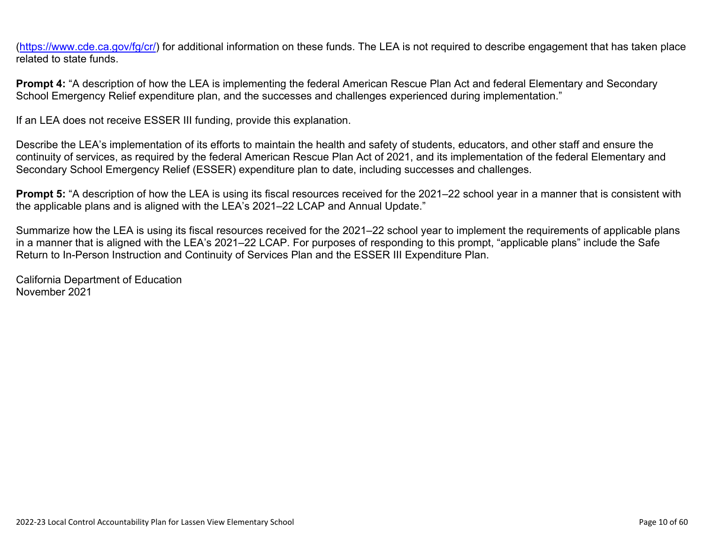(<https://www.cde.ca.gov/fg/cr/>) for additional information on these funds. The LEA is not required to describe engagement that has taken place related to state funds.

**Prompt 4:** "A description of how the LEA is implementing the federal American Rescue Plan Act and federal Elementary and Secondary School Emergency Relief expenditure plan, and the successes and challenges experienced during implementation."

If an LEA does not receive ESSER III funding, provide this explanation.

Describe the LEA's implementation of its efforts to maintain the health and safety of students, educators, and other staff and ensure the continuity of services, as required by the federal American Rescue Plan Act of 2021, and its implementation of the federal Elementary and Secondary School Emergency Relief (ESSER) expenditure plan to date, including successes and challenges.

**Prompt 5:** "A description of how the LEA is using its fiscal resources received for the 2021–22 school year in a manner that is consistent with the applicable plans and is aligned with the LEA's 2021–22 LCAP and Annual Update."

Summarize how the LEA is using its fiscal resources received for the 2021–22 school year to implement the requirements of applicable plans in a manner that is aligned with the LEA's 2021–22 LCAP. For purposes of responding to this prompt, "applicable plans" include the Safe Return to In-Person Instruction and Continuity of Services Plan and the ESSER III Expenditure Plan.

California Department of Education November 2021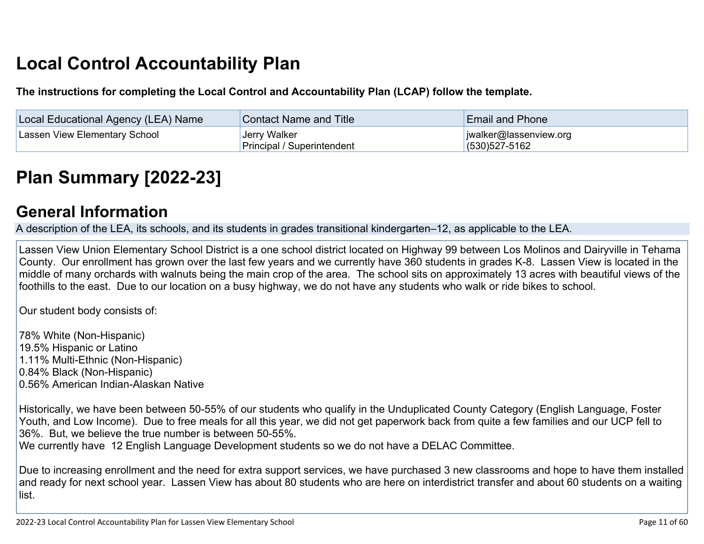# **Local Control Accountability Plan**

**The instructions for completing the Local Control and Accountability Plan (LCAP) follow the template.**

| Local Educational Agency (LEA) Name | <b>Contact Name and Title</b>              | <b>Email and Phone</b>                          |
|-------------------------------------|--------------------------------------------|-------------------------------------------------|
| Lassen View Elementary School       | Jerry Walker<br>Principal / Superintendent | $ $ jwalker@lassenview.org<br>$(530)527 - 5162$ |

# **[Plan Summary \[2022-23\]](http://www.doc-tracking.com/screenshots/22LCAP/Instructions/22LCAPInstructions.htm#PlanSummary)**

### **[General Information](http://www.doc-tracking.com/screenshots/22LCAP/Instructions/22LCAPInstructions.htm#generalinformation)**

A description of the LEA, its schools, and its students in grades transitional kindergarten–12, as applicable to the LEA.

Lassen View Union Elementary School District is a one school district located on Highway 99 between Los Molinos and Dairyville in Tehama County. Our enrollment has grown over the last few years and we currently have 360 students in grades K-8. Lassen View is located in the middle of many orchards with walnuts being the main crop of the area. The school sits on approximately 13 acres with beautiful views of the foothills to the east. Due to our location on a busy highway, we do not have any students who walk or ride bikes to school.

Our student body consists of:

78% White (Non-Hispanic) 19.5% Hispanic or Latino 1.11% Multi-Ethnic (Non-Hispanic) 0.84% Black (Non-Hispanic) 0.56% American Indian-Alaskan Native

Historically, we have been between 50-55% of our students who qualify in the Unduplicated County Category (English Language, Foster Youth, and Low Income). Due to free meals for all this year, we did not get paperwork back from quite a few families and our UCP fell to 36%. But, we believe the true number is between 50-55%.

We currently have 12 English Language Development students so we do not have a DELAC Committee.

Due to increasing enrollment and the need for extra support services, we have purchased 3 new classrooms and hope to have them installed and ready for next school year. Lassen View has about 80 students who are here on interdistrict transfer and about 60 students on a waiting list.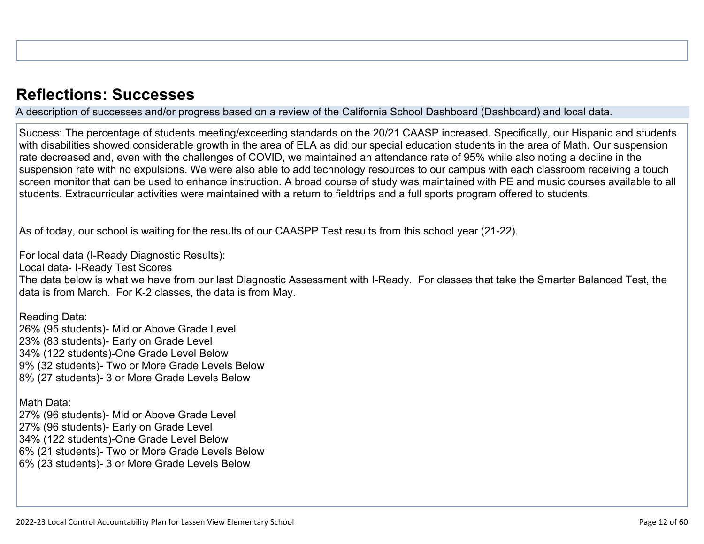### **[Reflections: Successes](http://www.doc-tracking.com/screenshots/22LCAP/Instructions/22LCAPInstructions.htm#ReflectionsSuccesses)**

A description of successes and/or progress based on a review of the California School Dashboard (Dashboard) and local data.

Success: The percentage of students meeting/exceeding standards on the 20/21 CAASP increased. Specifically, our Hispanic and students with disabilities showed considerable growth in the area of ELA as did our special education students in the area of Math. Our suspension rate decreased and, even with the challenges of COVID, we maintained an attendance rate of 95% while also noting a decline in the suspension rate with no expulsions. We were also able to add technology resources to our campus with each classroom receiving a touch screen monitor that can be used to enhance instruction. A broad course of study was maintained with PE and music courses available to all students. Extracurricular activities were maintained with a return to fieldtrips and a full sports program offered to students.

As of today, our school is waiting for the results of our CAASPP Test results from this school year (21-22).

For local data (I-Ready Diagnostic Results):

Local data- I-Ready Test Scores

The data below is what we have from our last Diagnostic Assessment with I-Ready. For classes that take the Smarter Balanced Test, the data is from March. For K-2 classes, the data is from May.

Reading Data: 26% (95 students)- Mid or Above Grade Level 23% (83 students)- Early on Grade Level 34% (122 students)-One Grade Level Below 9% (32 students)- Two or More Grade Levels Below 8% (27 students)- 3 or More Grade Levels Below

Math Data:

27% (96 students)- Mid or Above Grade Level 27% (96 students)- Early on Grade Level 34% (122 students)-One Grade Level Below 6% (21 students)- Two or More Grade Levels Below 6% (23 students)- 3 or More Grade Levels Below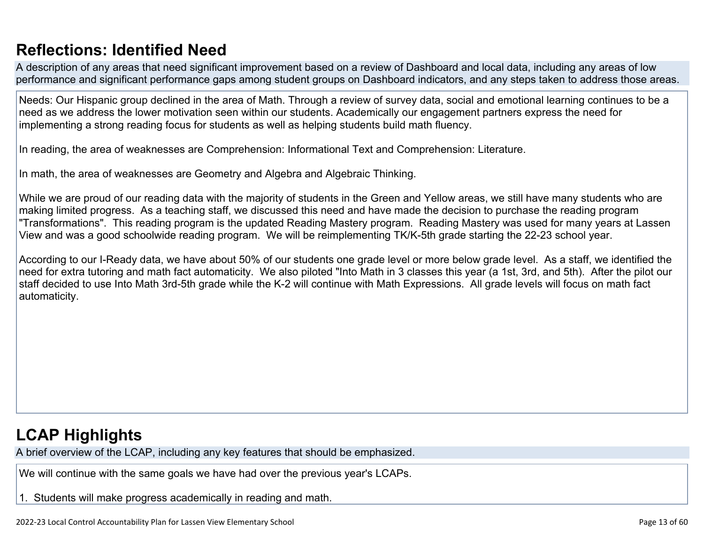## **[Reflections: Identified Need](http://www.doc-tracking.com/screenshots/22LCAP/Instructions/22LCAPInstructions.htm#ReflectionsIdentifiedNeed)**

A description of any areas that need significant improvement based on a review of Dashboard and local data, including any areas of low performance and significant performance gaps among student groups on Dashboard indicators, and any steps taken to address those areas.

Needs: Our Hispanic group declined in the area of Math. Through a review of survey data, social and emotional learning continues to be a need as we address the lower motivation seen within our students. Academically our engagement partners express the need for implementing a strong reading focus for students as well as helping students build math fluency.

In reading, the area of weaknesses are Comprehension: Informational Text and Comprehension: Literature.

In math, the area of weaknesses are Geometry and Algebra and Algebraic Thinking.

While we are proud of our reading data with the majority of students in the Green and Yellow areas, we still have many students who are making limited progress. As a teaching staff, we discussed this need and have made the decision to purchase the reading program "Transformations". This reading program is the updated Reading Mastery program. Reading Mastery was used for many years at Lassen View and was a good schoolwide reading program. We will be reimplementing TK/K-5th grade starting the 22-23 school year.

According to our I-Ready data, we have about 50% of our students one grade level or more below grade level. As a staff, we identified the need for extra tutoring and math fact automaticity. We also piloted "Into Math in 3 classes this year (a 1st, 3rd, and 5th). After the pilot our staff decided to use Into Math 3rd-5th grade while the K-2 will continue with Math Expressions. All grade levels will focus on math fact automaticity.

## **[LCAP Highlights](http://www.doc-tracking.com/screenshots/22LCAP/Instructions/22LCAPInstructions.htm#LCAPHighlights)**

A brief overview of the LCAP, including any key features that should be emphasized.

We will continue with the same goals we have had over the previous year's LCAPs.

1. Students will make progress academically in reading and math.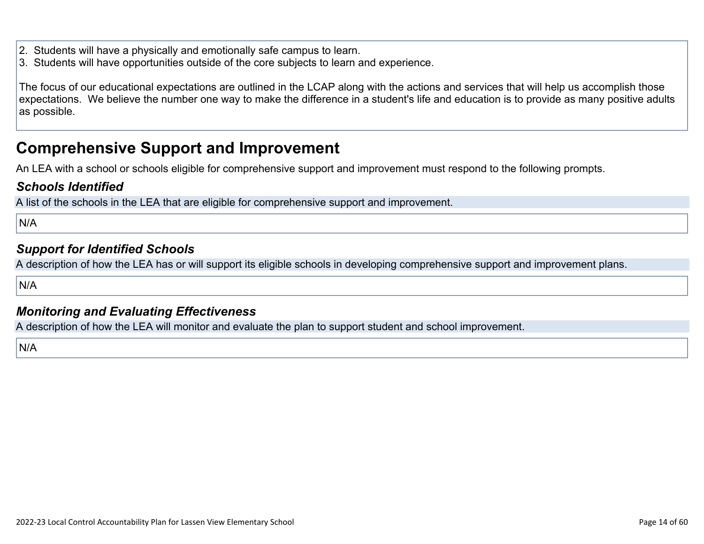- 2. Students will have a physically and emotionally safe campus to learn.
- 3. Students will have opportunities outside of the core subjects to learn and experience.

The focus of our educational expectations are outlined in the LCAP along with the actions and services that will help us accomplish those expectations. We believe the number one way to make the difference in a student's life and education is to provide as many positive adults as possible.

### **Comprehensive Support and Improvement**

An LEA with a school or schools eligible for comprehensive support and improvement must respond to the following prompts.

#### *[Schools Identified](http://www.doc-tracking.com/screenshots/22LCAP/Instructions/22LCAPInstructions.htm#SchoolsIdentified)*

A list of the schools in the LEA that are eligible for comprehensive support and improvement.

N/A

#### *[Support for Identified Schools](http://www.doc-tracking.com/screenshots/22LCAP/Instructions/22LCAPInstructions.htm#SupportforIdentifiedSchools)*

A description of how the LEA has or will support its eligible schools in developing comprehensive support and improvement plans.

N/A

#### *[Monitoring and Evaluating Effectiveness](http://www.doc-tracking.com/screenshots/22LCAP/Instructions/22LCAPInstructions.htm#MonitoringandEvaluatingEffectiveness)*

A description of how the LEA will monitor and evaluate the plan to support student and school improvement.

N/A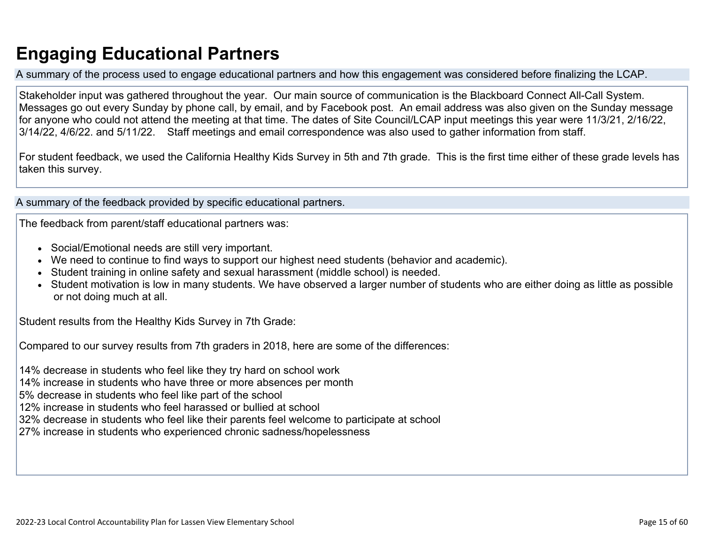## **Engaging Educational Partners**

A summary of the process used to engage educational partners and how this engagement was considered before finalizing the LCAP.

Stakeholder input was gathered throughout the year. Our main source of communication is the Blackboard Connect All-Call System. Messages go out every Sunday by phone call, by email, and by Facebook post. An email address was also given on the Sunday message for anyone who could not attend the meeting at that time. The dates of Site Council/LCAP input meetings this year were 11/3/21, 2/16/22, 3/14/22, 4/6/22. and 5/11/22. Staff meetings and email correspondence was also used to gather information from staff.

For student feedback, we used the California Healthy Kids Survey in 5th and 7th grade. This is the first time either of these grade levels has taken this survey.

A summary of the feedback provided by specific educational partners.

The feedback from parent/staff educational partners was:

- Social/Emotional needs are still very important.
- We need to continue to find ways to support our highest need students (behavior and academic).
- Student training in online safety and sexual harassment (middle school) is needed.
- Student motivation is low in many students. We have observed a larger number of students who are either doing as little as possible or not doing much at all.

Student results from the Healthy Kids Survey in 7th Grade:

Compared to our survey results from 7th graders in 2018, here are some of the differences:

14% decrease in students who feel like they try hard on school work

14% increase in students who have three or more absences per month

5% decrease in students who feel like part of the school

12% increase in students who feel harassed or bullied at school

32% decrease in students who feel like their parents feel welcome to participate at school

27% increase in students who experienced chronic sadness/hopelessness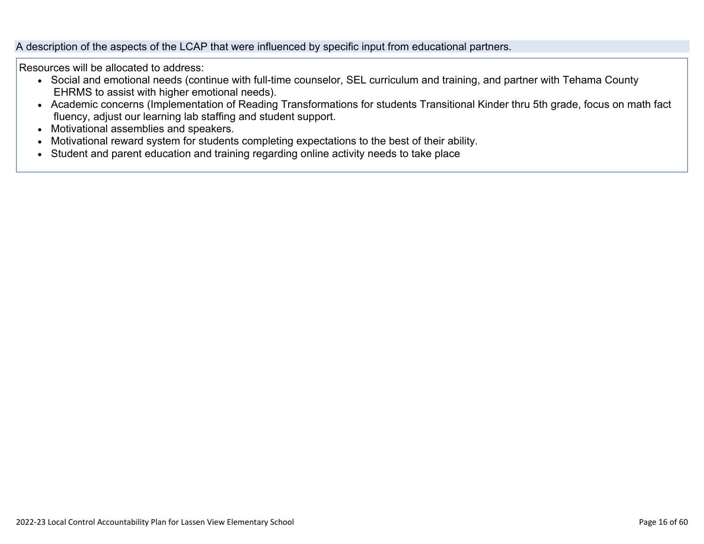#### A description of the aspects of the LCAP that were influenced by specific input from educational partners.

Resources will be allocated to address:

- Social and emotional needs (continue with full-time counselor, SEL curriculum and training, and partner with Tehama County EHRMS to assist with higher emotional needs).
- Academic concerns (Implementation of Reading Transformations for students Transitional Kinder thru 5th grade, focus on math fact fluency, adjust our learning lab staffing and student support.
- Motivational assemblies and speakers.
- Motivational reward system for students completing expectations to the best of their ability.
- Student and parent education and training regarding online activity needs to take place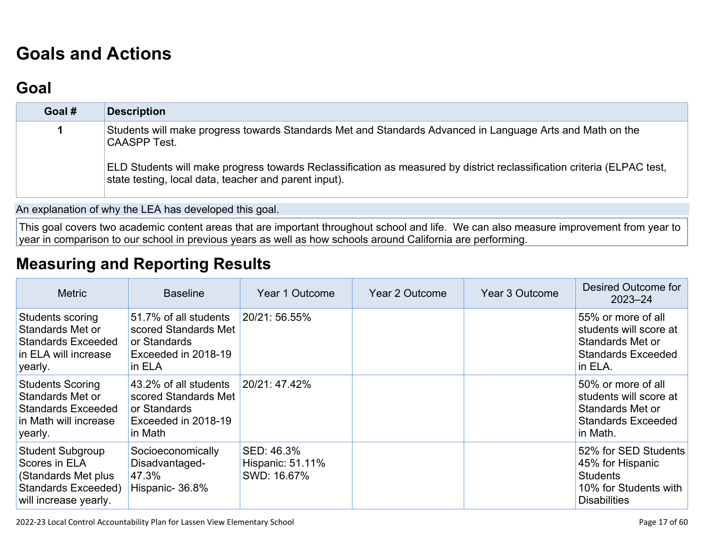# **[Goals and Actions](http://www.doc-tracking.com/screenshots/22LCAP/Instructions/22LCAPInstructions.htm#GoalsandActions)**

## **[Goal](http://www.doc-tracking.com/screenshots/22LCAP/Instructions/22LCAPInstructions.htm#goalDescription)**

| Goal # | <b>Description</b>                                                                                                                                                               |
|--------|----------------------------------------------------------------------------------------------------------------------------------------------------------------------------------|
|        | Students will make progress towards Standards Met and Standards Advanced in Language Arts and Math on the<br><b>CAASPP Test.</b>                                                 |
|        | ELD Students will make progress towards Reclassification as measured by district reclassification criteria (ELPAC test,<br>state testing, local data, teacher and parent input). |

An explanation of why the LEA has developed this goal.

This goal covers two academic content areas that are important throughout school and life. We can also measure improvement from year to year in comparison to our school in previous years as well as how schools around California are performing.

## **[Measuring and Reporting Results](http://www.doc-tracking.com/screenshots/22LCAP/Instructions/22LCAPInstructions.htm#MeasuringandReportingResults)**

| <b>Metric</b>                                                                                                   | <b>Baseline</b>                                                                                 | Year 1 Outcome                                | Year 2 Outcome | Year 3 Outcome | Desired Outcome for<br>$2023 - 24$                                                                          |
|-----------------------------------------------------------------------------------------------------------------|-------------------------------------------------------------------------------------------------|-----------------------------------------------|----------------|----------------|-------------------------------------------------------------------------------------------------------------|
| Students scoring<br>Standards Met or<br><b>Standards Exceeded</b><br>in ELA will increase<br>yearly.            | 51.7% of all students<br>scored Standards Met<br>or Standards<br>Exceeded in 2018-19<br>in ELA  | 20/21: 56.55%                                 |                |                | 55% or more of all<br>students will score at<br>Standards Met or<br><b>Standards Exceeded</b><br>in ELA.    |
| <b>Students Scoring</b><br>Standards Met or<br><b>Standards Exceeded</b><br>in Math will increase<br>yearly.    | 43.2% of all students<br>scored Standards Met<br>or Standards<br>Exceeded in 2018-19<br>in Math | 20/21:47.42%                                  |                |                | 50% or more of all<br>students will score at<br>Standards Met or<br><b>Standards Exceeded</b><br>in Math.   |
| <b>Student Subgroup</b><br>Scores in ELA<br>(Standards Met plus<br>Standards Exceeded)<br>will increase yearly. | Socioeconomically<br>Disadvantaged-<br>47.3%<br>Hispanic-36.8%                                  | SED: 46.3%<br>Hispanic: 51.11%<br>SWD: 16.67% |                |                | 52% for SED Students<br>45% for Hispanic<br><b>Students</b><br>10% for Students with<br><b>Disabilities</b> |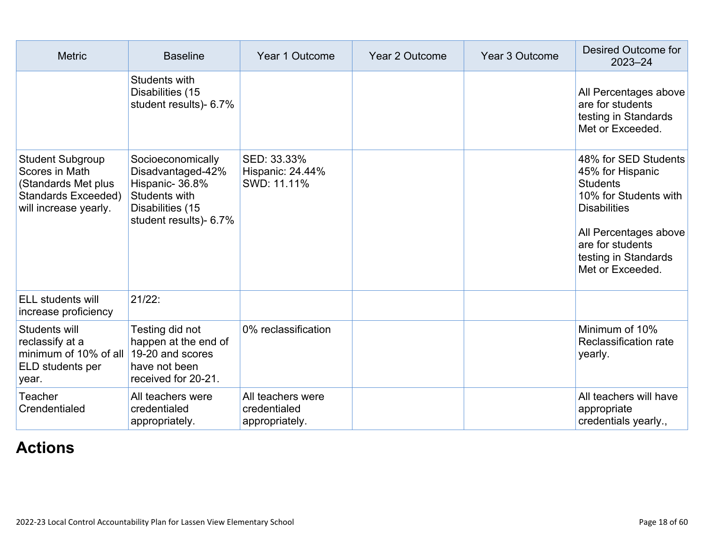| <b>Metric</b>                                                                                                    | <b>Baseline</b>                                                                                                         | Year 1 Outcome                                      | <b>Year 2 Outcome</b> | <b>Year 3 Outcome</b> | Desired Outcome for<br>$2023 - 24$                                                                                                                                                                   |
|------------------------------------------------------------------------------------------------------------------|-------------------------------------------------------------------------------------------------------------------------|-----------------------------------------------------|-----------------------|-----------------------|------------------------------------------------------------------------------------------------------------------------------------------------------------------------------------------------------|
|                                                                                                                  | Students with<br>Disabilities (15<br>student results)- 6.7%                                                             |                                                     |                       |                       | All Percentages above<br>are for students<br>testing in Standards<br>Met or Exceeded.                                                                                                                |
| <b>Student Subgroup</b><br>Scores in Math<br>(Standards Met plus<br>Standards Exceeded)<br>will increase yearly. | Socioeconomically<br>Disadvantaged-42%<br>Hispanic-36.8%<br>Students with<br>Disabilities (15<br>student results)- 6.7% | SED: 33.33%<br>Hispanic: 24.44%<br>SWD: 11.11%      |                       |                       | 48% for SED Students<br>45% for Hispanic<br><b>Students</b><br>10% for Students with<br><b>Disabilities</b><br>All Percentages above<br>are for students<br>testing in Standards<br>Met or Exceeded. |
| <b>ELL students will</b><br>increase proficiency                                                                 | 21/22:                                                                                                                  |                                                     |                       |                       |                                                                                                                                                                                                      |
| Students will<br>reclassify at a<br>minimum of 10% of all<br>ELD students per<br>year.                           | Testing did not<br>happen at the end of<br>19-20 and scores<br>have not been<br>received for 20-21.                     | 0% reclassification                                 |                       |                       | Minimum of 10%<br>Reclassification rate<br>yearly.                                                                                                                                                   |
| Teacher<br>Crendentialed                                                                                         | All teachers were<br>credentialed<br>appropriately.                                                                     | All teachers were<br>credentialed<br>appropriately. |                       |                       | All teachers will have<br>appropriate<br>credentials yearly.,                                                                                                                                        |

## **[Actions](http://www.doc-tracking.com/screenshots/22LCAP/Instructions/22LCAPInstructions.htm#actions)**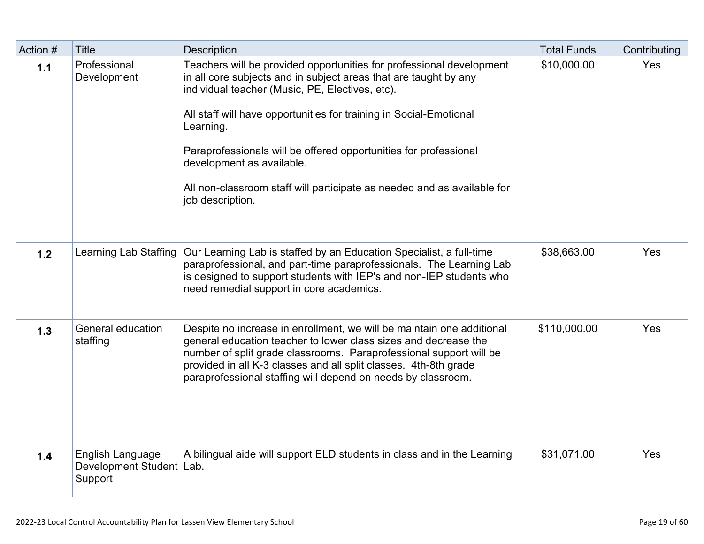| Action # | <b>Title</b>                                              | <b>Description</b>                                                                                                                                                                                                                                                                                                                                                                                                                                                             | <b>Total Funds</b> | Contributing |
|----------|-----------------------------------------------------------|--------------------------------------------------------------------------------------------------------------------------------------------------------------------------------------------------------------------------------------------------------------------------------------------------------------------------------------------------------------------------------------------------------------------------------------------------------------------------------|--------------------|--------------|
| 1.1      | Professional<br>Development                               | Teachers will be provided opportunities for professional development<br>in all core subjects and in subject areas that are taught by any<br>individual teacher (Music, PE, Electives, etc).<br>All staff will have opportunities for training in Social-Emotional<br>Learning.<br>Paraprofessionals will be offered opportunities for professional<br>development as available.<br>All non-classroom staff will participate as needed and as available for<br>job description. | \$10,000.00        | Yes          |
| 1.2      | Learning Lab Staffing                                     | Our Learning Lab is staffed by an Education Specialist, a full-time<br>paraprofessional, and part-time paraprofessionals. The Learning Lab<br>is designed to support students with IEP's and non-IEP students who<br>need remedial support in core academics.                                                                                                                                                                                                                  | \$38,663.00        | Yes          |
| 1.3      | General education<br>staffing                             | Despite no increase in enrollment, we will be maintain one additional<br>general education teacher to lower class sizes and decrease the<br>number of split grade classrooms. Paraprofessional support will be<br>provided in all K-3 classes and all split classes. 4th-8th grade<br>paraprofessional staffing will depend on needs by classroom.                                                                                                                             | \$110,000.00       | Yes          |
| 1.4      | English Language<br>Development Student   Lab.<br>Support | A bilingual aide will support ELD students in class and in the Learning                                                                                                                                                                                                                                                                                                                                                                                                        | \$31,071.00        | Yes          |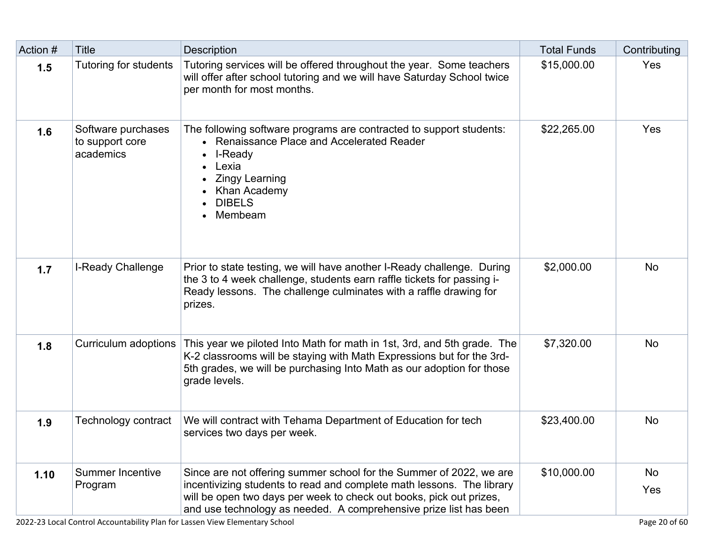| Action # | <b>Title</b>                                       | <b>Description</b>                                                                                                                                                                                                                                                                       | <b>Total Funds</b> | Contributing |
|----------|----------------------------------------------------|------------------------------------------------------------------------------------------------------------------------------------------------------------------------------------------------------------------------------------------------------------------------------------------|--------------------|--------------|
| 1.5      | Tutoring for students                              | Tutoring services will be offered throughout the year. Some teachers<br>will offer after school tutoring and we will have Saturday School twice<br>per month for most months.                                                                                                            | \$15,000.00        | Yes          |
| 1.6      | Software purchases<br>to support core<br>academics | The following software programs are contracted to support students:<br>• Renaissance Place and Accelerated Reader<br>I-Ready<br>$\bullet$<br>Lexia<br><b>Zingy Learning</b><br>Khan Academy<br><b>DIBELS</b><br>Membeam                                                                  | \$22,265.00        | Yes          |
| 1.7      | <b>I-Ready Challenge</b>                           | Prior to state testing, we will have another I-Ready challenge. During<br>the 3 to 4 week challenge, students earn raffle tickets for passing i-<br>Ready lessons. The challenge culminates with a raffle drawing for<br>prizes.                                                         | \$2,000.00         | <b>No</b>    |
| 1.8      | Curriculum adoptions                               | This year we piloted Into Math for math in 1st, 3rd, and 5th grade. The<br>K-2 classrooms will be staying with Math Expressions but for the 3rd-<br>5th grades, we will be purchasing Into Math as our adoption for those<br>grade levels.                                               | \$7,320.00         | <b>No</b>    |
| 1.9      | Technology contract                                | We will contract with Tehama Department of Education for tech<br>services two days per week.                                                                                                                                                                                             | \$23,400.00        | <b>No</b>    |
| 1.10     | <b>Summer Incentive</b><br>Program                 | Since are not offering summer school for the Summer of 2022, we are<br>incentivizing students to read and complete math lessons. The library<br>will be open two days per week to check out books, pick out prizes,<br>and use technology as needed. A comprehensive prize list has been | \$10,000.00        | No<br>Yes    |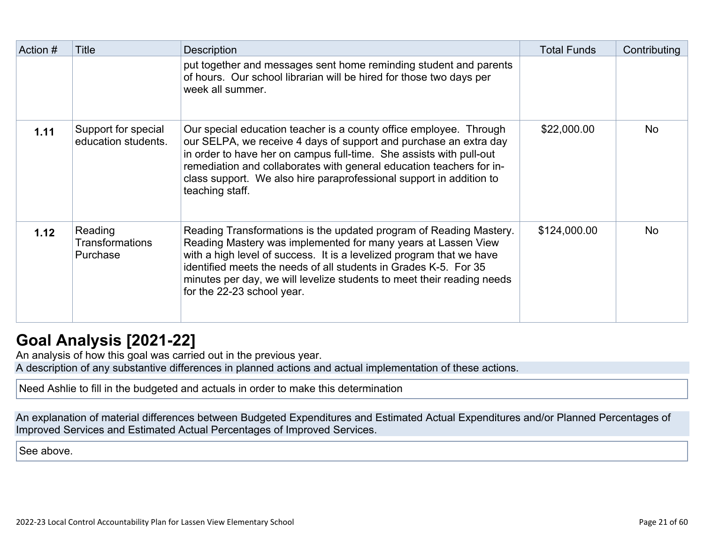| Action # | Title                                         | <b>Description</b>                                                                                                                                                                                                                                                                                                                                                                      | <b>Total Funds</b> | Contributing |
|----------|-----------------------------------------------|-----------------------------------------------------------------------------------------------------------------------------------------------------------------------------------------------------------------------------------------------------------------------------------------------------------------------------------------------------------------------------------------|--------------------|--------------|
|          |                                               | put together and messages sent home reminding student and parents<br>of hours. Our school librarian will be hired for those two days per<br>week all summer.                                                                                                                                                                                                                            |                    |              |
| 1.11     | Support for special<br>education students.    | Our special education teacher is a county office employee. Through<br>our SELPA, we receive 4 days of support and purchase an extra day<br>in order to have her on campus full-time. She assists with pull-out<br>remediation and collaborates with general education teachers for in-<br>class support. We also hire paraprofessional support in addition to<br>teaching staff.        | \$22,000.00        | <b>No</b>    |
| 1.12     | Reading<br><b>Transformations</b><br>Purchase | Reading Transformations is the updated program of Reading Mastery.<br>Reading Mastery was implemented for many years at Lassen View<br>with a high level of success. It is a levelized program that we have<br>identified meets the needs of all students in Grades K-5. For 35<br>minutes per day, we will levelize students to meet their reading needs<br>for the 22-23 school year. | \$124,000.00       | <b>No</b>    |

## **[Goal Analysis \[2021-22\]](http://www.doc-tracking.com/screenshots/22LCAP/Instructions/22LCAPInstructions.htm#GoalAnalysis)**

An analysis of how this goal was carried out in the previous year.

A description of any substantive differences in planned actions and actual implementation of these actions.

Need Ashlie to fill in the budgeted and actuals in order to make this determination

An explanation of material differences between Budgeted Expenditures and Estimated Actual Expenditures and/or Planned Percentages of Improved Services and Estimated Actual Percentages of Improved Services.

See above.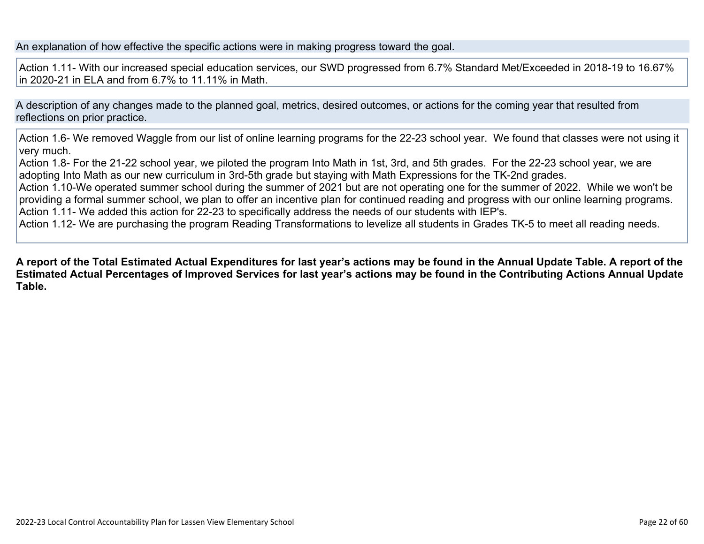An explanation of how effective the specific actions were in making progress toward the goal.

Action 1.11- With our increased special education services, our SWD progressed from 6.7% Standard Met/Exceeded in 2018-19 to 16.67% in 2020-21 in ELA and from 6.7% to 11.11% in Math.

A description of any changes made to the planned goal, metrics, desired outcomes, or actions for the coming year that resulted from reflections on prior practice.

Action 1.6- We removed Waggle from our list of online learning programs for the 22-23 school year. We found that classes were not using it very much.

Action 1.8- For the 21-22 school year, we piloted the program Into Math in 1st, 3rd, and 5th grades. For the 22-23 school year, we are adopting Into Math as our new curriculum in 3rd-5th grade but staying with Math Expressions for the TK-2nd grades.

Action 1.10-We operated summer school during the summer of 2021 but are not operating one for the summer of 2022. While we won't be providing a formal summer school, we plan to offer an incentive plan for continued reading and progress with our online learning programs. Action 1.11- We added this action for 22-23 to specifically address the needs of our students with IEP's.

Action 1.12- We are purchasing the program Reading Transformations to levelize all students in Grades TK-5 to meet all reading needs.

**A report of the Total Estimated Actual Expenditures for last year's actions may be found in the Annual Update Table. A report of the Estimated Actual Percentages of Improved Services for last year's actions may be found in the Contributing Actions Annual Update Table.**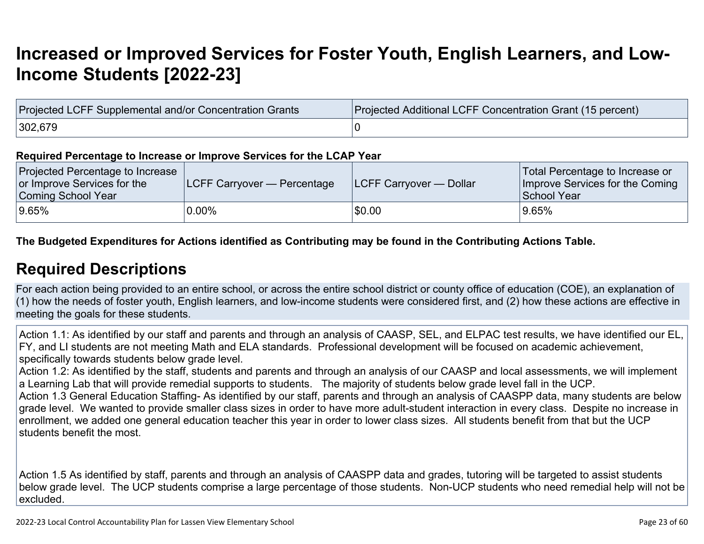## **[Increased or Improved Services for Foster Youth, English Learners, and Low-](http://www.doc-tracking.com/screenshots/22LCAP/Instructions/22LCAPInstructions.htm#IncreasedImprovedServices)[Income Students \[2022-23\]](http://www.doc-tracking.com/screenshots/22LCAP/Instructions/22LCAPInstructions.htm#IncreasedImprovedServices)**

| Projected LCFF Supplemental and/or Concentration Grants | Projected Additional LCFF Concentration Grant (15 percent) |
|---------------------------------------------------------|------------------------------------------------------------|
| 302,679                                                 |                                                            |

#### **Required Percentage to Increase or Improve Services for the LCAP Year**

| Projected Percentage to Increase<br>or Improve Services for the<br>Coming School Year | <b>LCFF Carryover — Percentage</b> | <b>ILCFF Carryover — Dollar</b> | Total Percentage to Increase or<br>Improve Services for the Coming<br>School Year |
|---------------------------------------------------------------------------------------|------------------------------------|---------------------------------|-----------------------------------------------------------------------------------|
| 9.65%                                                                                 | $0.00\%$                           | \$0.00                          | 9.65%                                                                             |

**The Budgeted Expenditures for Actions identified as Contributing may be found in the Contributing Actions Table.**

### **[Required Descriptions](http://www.doc-tracking.com/screenshots/22LCAP/Instructions/22LCAPInstructions.htm#RequiredDescriptions)**

For each action being provided to an entire school, or across the entire school district or county office of education (COE), an explanation of (1) how the needs of foster youth, English learners, and low-income students were considered first, and (2) how these actions are effective in meeting the goals for these students.

Action 1.1: As identified by our staff and parents and through an analysis of CAASP, SEL, and ELPAC test results, we have identified our EL, FY, and LI students are not meeting Math and ELA standards. Professional development will be focused on academic achievement, specifically towards students below grade level.

Action 1.2: As identified by the staff, students and parents and through an analysis of our CAASP and local assessments, we will implement a Learning Lab that will provide remedial supports to students. The majority of students below grade level fall in the UCP.

Action 1.3 General Education Staffing- As identified by our staff, parents and through an analysis of CAASPP data, many students are below grade level. We wanted to provide smaller class sizes in order to have more adult-student interaction in every class. Despite no increase in enrollment, we added one general education teacher this year in order to lower class sizes. All students benefit from that but the UCP students benefit the most.

Action 1.5 As identified by staff, parents and through an analysis of CAASPP data and grades, tutoring will be targeted to assist students below grade level. The UCP students comprise a large percentage of those students. Non-UCP students who need remedial help will not be excluded.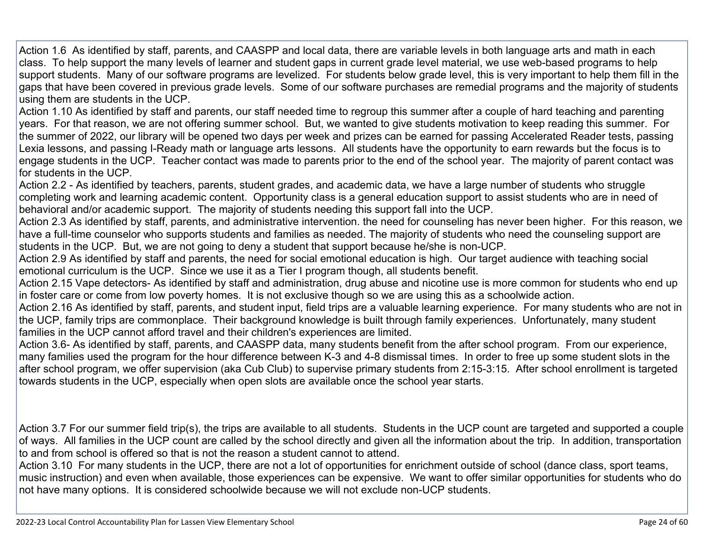Action 1.6 As identified by staff, parents, and CAASPP and local data, there are variable levels in both language arts and math in each class. To help support the many levels of learner and student gaps in current grade level material, we use web-based programs to help support students. Many of our software programs are levelized. For students below grade level, this is very important to help them fill in the gaps that have been covered in previous grade levels. Some of our software purchases are remedial programs and the majority of students using them are students in the UCP.

Action 1.10 As identified by staff and parents, our staff needed time to regroup this summer after a couple of hard teaching and parenting years. For that reason, we are not offering summer school. But, we wanted to give students motivation to keep reading this summer. For the summer of 2022, our library will be opened two days per week and prizes can be earned for passing Accelerated Reader tests, passing Lexia lessons, and passing I-Ready math or language arts lessons. All students have the opportunity to earn rewards but the focus is to engage students in the UCP. Teacher contact was made to parents prior to the end of the school year. The majority of parent contact was for students in the UCP.

Action 2.2 - As identified by teachers, parents, student grades, and academic data, we have a large number of students who struggle completing work and learning academic content. Opportunity class is a general education support to assist students who are in need of behavioral and/or academic support. The majority of students needing this support fall into the UCP.

Action 2.3 As identified by staff, parents, and administrative intervention. the need for counseling has never been higher. For this reason, we have a full-time counselor who supports students and families as needed. The majority of students who need the counseling support are students in the UCP. But, we are not going to deny a student that support because he/she is non-UCP.

Action 2.9 As identified by staff and parents, the need for social emotional education is high. Our target audience with teaching social emotional curriculum is the UCP. Since we use it as a Tier I program though, all students benefit.

Action 2.15 Vape detectors- As identified by staff and administration, drug abuse and nicotine use is more common for students who end up in foster care or come from low poverty homes. It is not exclusive though so we are using this as a schoolwide action.

Action 2.16 As identified by staff, parents, and student input, field trips are a valuable learning experience. For many students who are not in the UCP, family trips are commonplace. Their background knowledge is built through family experiences. Unfortunately, many student families in the UCP cannot afford travel and their children's experiences are limited.

Action 3.6- As identified by staff, parents, and CAASPP data, many students benefit from the after school program. From our experience, many families used the program for the hour difference between K-3 and 4-8 dismissal times. In order to free up some student slots in the after school program, we offer supervision (aka Cub Club) to supervise primary students from 2:15-3:15. After school enrollment is targeted towards students in the UCP, especially when open slots are available once the school year starts.

Action 3.7 For our summer field trip(s), the trips are available to all students. Students in the UCP count are targeted and supported a couple of ways. All families in the UCP count are called by the school directly and given all the information about the trip. In addition, transportation to and from school is offered so that is not the reason a student cannot to attend.

Action 3.10 For many students in the UCP, there are not a lot of opportunities for enrichment outside of school (dance class, sport teams, music instruction) and even when available, those experiences can be expensive. We want to offer similar opportunities for students who do not have many options. It is considered schoolwide because we will not exclude non-UCP students.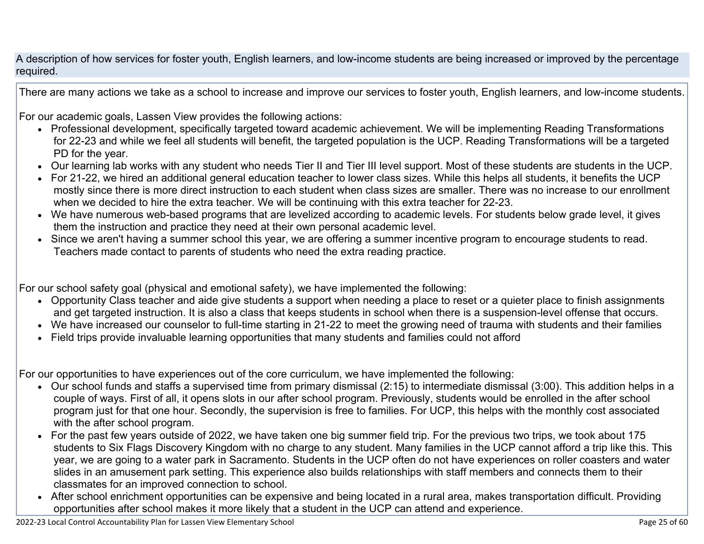A description of how services for foster youth, English learners, and low-income students are being increased or improved by the percentage required.

There are many actions we take as a school to increase and improve our services to foster youth, English learners, and low-income students.

For our academic goals, Lassen View provides the following actions:

- Professional development, specifically targeted toward academic achievement. We will be implementing Reading Transformations for 22-23 and while we feel all students will benefit, the targeted population is the UCP. Reading Transformations will be a targeted PD for the year.
- Our learning lab works with any student who needs Tier II and Tier III level support. Most of these students are students in the UCP.
- For 21-22, we hired an additional general education teacher to lower class sizes. While this helps all students, it benefits the UCP mostly since there is more direct instruction to each student when class sizes are smaller. There was no increase to our enrollment when we decided to hire the extra teacher. We will be continuing with this extra teacher for 22-23.
- We have numerous web-based programs that are levelized according to academic levels. For students below grade level, it gives them the instruction and practice they need at their own personal academic level.
- Since we aren't having a summer school this year, we are offering a summer incentive program to encourage students to read. Teachers made contact to parents of students who need the extra reading practice.

For our school safety goal (physical and emotional safety), we have implemented the following:

- Opportunity Class teacher and aide give students a support when needing a place to reset or a quieter place to finish assignments and get targeted instruction. It is also a class that keeps students in school when there is a suspension-level offense that occurs.
- We have increased our counselor to full-time starting in 21-22 to meet the growing need of trauma with students and their families
- Field trips provide invaluable learning opportunities that many students and families could not afford

For our opportunities to have experiences out of the core curriculum, we have implemented the following:

- Our school funds and staffs a supervised time from primary dismissal (2:15) to intermediate dismissal (3:00). This addition helps in a couple of ways. First of all, it opens slots in our after school program. Previously, students would be enrolled in the after school program just for that one hour. Secondly, the supervision is free to families. For UCP, this helps with the monthly cost associated with the after school program.
- For the past few years outside of 2022, we have taken one big summer field trip. For the previous two trips, we took about 175 students to Six Flags Discovery Kingdom with no charge to any student. Many families in the UCP cannot afford a trip like this. This year, we are going to a water park in Sacramento. Students in the UCP often do not have experiences on roller coasters and water slides in an amusement park setting. This experience also builds relationships with staff members and connects them to their classmates for an improved connection to school.
- After school enrichment opportunities can be expensive and being located in a rural area, makes transportation difficult. Providing opportunities after school makes it more likely that a student in the UCP can attend and experience.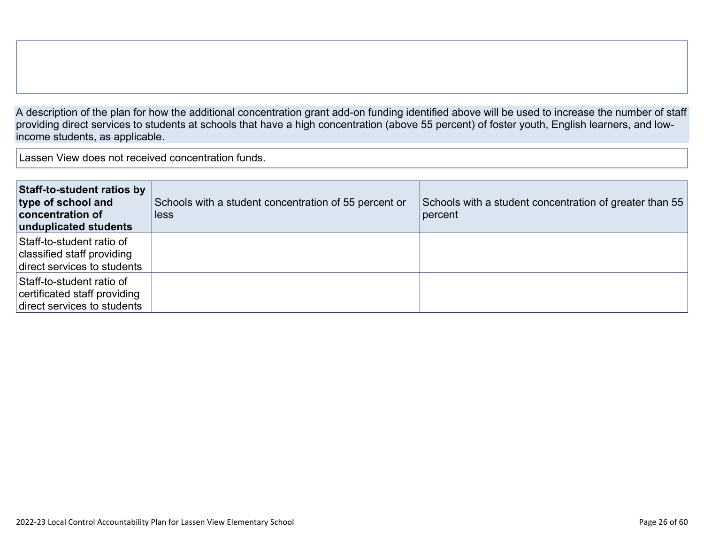A description of the plan for how the additional concentration grant add-on funding identified above will be used to increase the number of staff providing direct services to students at schools that have a high concentration (above 55 percent) of foster youth, English learners, and lowincome students, as applicable.

Lassen View does not received concentration funds.

| <b>Staff-to-student ratios by</b><br>type of school and<br><b>concentration of</b><br>unduplicated students | Schools with a student concentration of 55 percent or<br>less | Schools with a student concentration of greater than 55<br>percent |
|-------------------------------------------------------------------------------------------------------------|---------------------------------------------------------------|--------------------------------------------------------------------|
| Staff-to-student ratio of<br>classified staff providing<br>direct services to students                      |                                                               |                                                                    |
| Staff-to-student ratio of<br>certificated staff providing<br>direct services to students                    |                                                               |                                                                    |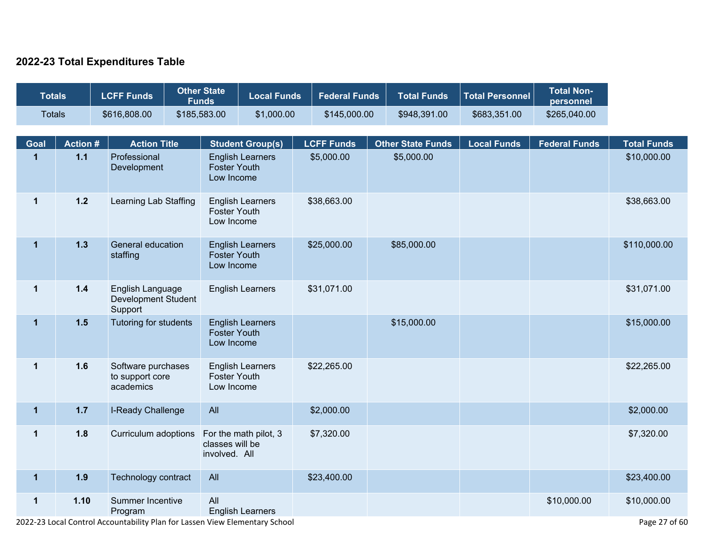#### **2022-23 Total Expenditures Table**

| <b>Totals</b> |                 |  | <b>LCFF Funds</b>                                  |                                         | <b>Other State</b><br><b>Funds</b> | <b>Local Funds</b>      | <b>Federal Funds</b>              | <b>Total Funds</b>       | <b>Total Personnel</b> | <b>Total Non-</b><br>personnel |                    |  |             |
|---------------|-----------------|--|----------------------------------------------------|-----------------------------------------|------------------------------------|-------------------------|-----------------------------------|--------------------------|------------------------|--------------------------------|--------------------|--|-------------|
| <b>Totals</b> |                 |  | \$616,808.00                                       |                                         | \$185,583.00                       | \$1,000.00              | \$145,000.00                      | \$948,391.00             | \$683,351.00           | \$265,040.00                   |                    |  |             |
| Goal          | <b>Action #</b> |  | <b>Action Title</b>                                |                                         |                                    | <b>Student Group(s)</b> | <b>LCFF Funds</b>                 | <b>Other State Funds</b> | <b>Local Funds</b>     | <b>Federal Funds</b>           | <b>Total Funds</b> |  |             |
| $\mathbf{1}$  | $1.1$           |  | Professional<br>Development                        |                                         | <b>Foster Youth</b><br>Low Income  | <b>English Learners</b> | \$5,000.00                        | \$5,000.00               |                        |                                | \$10,000.00        |  |             |
| $\mathbf 1$   | $1.2$           |  | Learning Lab Staffing                              |                                         |                                    |                         | <b>Foster Youth</b><br>Low Income | <b>English Learners</b>  | \$38,663.00            |                                |                    |  | \$38,663.00 |
| $\mathbf{1}$  | $1.3$           |  | General education<br>staffing                      |                                         | <b>Foster Youth</b><br>Low Income  | <b>English Learners</b> | \$25,000.00                       | \$85,000.00              |                        |                                | \$110,000.00       |  |             |
| $\mathbf 1$   | $1.4$           |  | Support                                            | English Language<br>Development Student |                                    | <b>English Learners</b> | \$31,071.00                       |                          |                        |                                | \$31,071.00        |  |             |
| $\mathbf{1}$  | 1.5             |  | Tutoring for students                              |                                         | <b>Foster Youth</b><br>Low Income  | <b>English Learners</b> |                                   | \$15,000.00              |                        |                                | \$15,000.00        |  |             |
| $\mathbf 1$   | 1.6             |  | Software purchases<br>to support core<br>academics |                                         | <b>Foster Youth</b><br>Low Income  | <b>English Learners</b> | \$22,265.00                       |                          |                        |                                | \$22,265.00        |  |             |
| $\mathbf{1}$  | $1.7$           |  | I-Ready Challenge                                  |                                         | All                                |                         | \$2,000.00                        |                          |                        |                                | \$2,000.00         |  |             |
| $\mathbf 1$   | 1.8             |  | Curriculum adoptions                               |                                         | classes will be<br>involved. All   | For the math pilot, 3   | \$7,320.00                        |                          |                        |                                | \$7,320.00         |  |             |
| $\mathbf{1}$  | 1.9             |  | Technology contract                                |                                         | All                                |                         | \$23,400.00                       |                          |                        |                                | \$23,400.00        |  |             |
| $\mathbf 1$   | 1.10            |  | Summer Incentive<br>Program                        |                                         | All                                | <b>English Learners</b> |                                   |                          |                        | \$10,000.00                    | \$10,000.00        |  |             |

2022-23 Local Control Accountability Plan for Lassen View Elementary School Page 27 of 60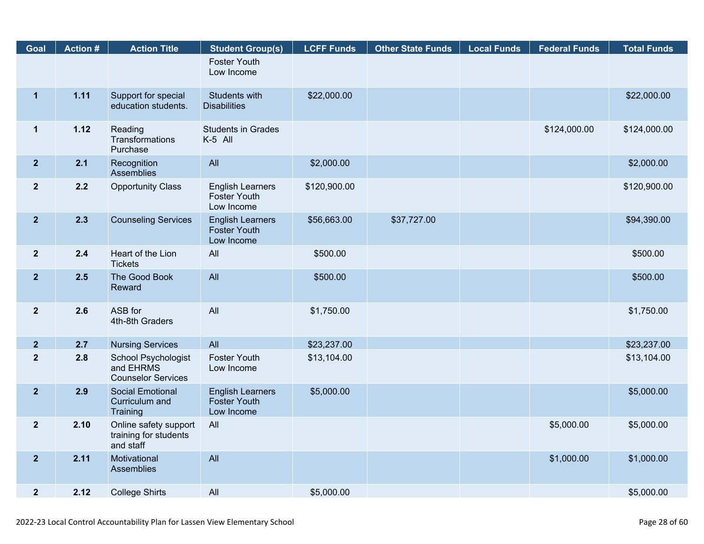| Goal           | <b>Action#</b> | <b>Action Title</b>                                                  | <b>Student Group(s)</b>                                      | <b>LCFF Funds</b> | <b>Other State Funds</b> | <b>Local Funds</b> | <b>Federal Funds</b> | <b>Total Funds</b> |
|----------------|----------------|----------------------------------------------------------------------|--------------------------------------------------------------|-------------------|--------------------------|--------------------|----------------------|--------------------|
|                |                |                                                                      | <b>Foster Youth</b><br>Low Income                            |                   |                          |                    |                      |                    |
| $\mathbf{1}$   | 1.11           | Support for special<br>education students.                           | Students with<br><b>Disabilities</b>                         | \$22,000.00       |                          |                    |                      | \$22,000.00        |
| $\mathbf 1$    | 1.12           | Reading<br>Transformations<br>Purchase                               | <b>Students in Grades</b><br>K-5 All                         |                   |                          |                    | \$124,000.00         | \$124,000.00       |
| $\overline{2}$ | 2.1            | Recognition<br>Assemblies                                            | All                                                          | \$2,000.00        |                          |                    |                      | \$2,000.00         |
| $\overline{2}$ | 2.2            | <b>Opportunity Class</b>                                             | <b>English Learners</b><br><b>Foster Youth</b><br>Low Income | \$120,900.00      |                          |                    |                      | \$120,900.00       |
| $\overline{2}$ | 2.3            | <b>Counseling Services</b>                                           | <b>English Learners</b><br><b>Foster Youth</b><br>Low Income | \$56,663.00       | \$37,727.00              |                    |                      | \$94,390.00        |
| $\overline{2}$ | 2.4            | Heart of the Lion<br><b>Tickets</b>                                  | All                                                          | \$500.00          |                          |                    |                      | \$500.00           |
| $\overline{2}$ | 2.5            | The Good Book<br>Reward                                              | All                                                          | \$500.00          |                          |                    |                      | \$500.00           |
| $\mathbf{2}$   | 2.6            | ASB for<br>4th-8th Graders                                           | All                                                          | \$1,750.00        |                          |                    |                      | \$1,750.00         |
| $\overline{2}$ | 2.7            | <b>Nursing Services</b>                                              | All                                                          | \$23,237.00       |                          |                    |                      | \$23,237.00        |
| $\overline{2}$ | 2.8            | <b>School Psychologist</b><br>and EHRMS<br><b>Counselor Services</b> | <b>Foster Youth</b><br>Low Income                            | \$13,104.00       |                          |                    |                      | \$13,104.00        |
| $\overline{2}$ | 2.9            | <b>Social Emotional</b><br>Curriculum and<br>Training                | <b>English Learners</b><br><b>Foster Youth</b><br>Low Income | \$5,000.00        |                          |                    |                      | \$5,000.00         |
| $\mathbf{2}$   | 2.10           | Online safety support<br>training for students<br>and staff          | All                                                          |                   |                          |                    | \$5,000.00           | \$5,000.00         |
| $\overline{2}$ | 2.11           | Motivational<br>Assemblies                                           | All                                                          |                   |                          |                    | \$1,000.00           | \$1,000.00         |
| $\overline{2}$ | 2.12           | <b>College Shirts</b>                                                | All                                                          | \$5,000.00        |                          |                    |                      | \$5,000.00         |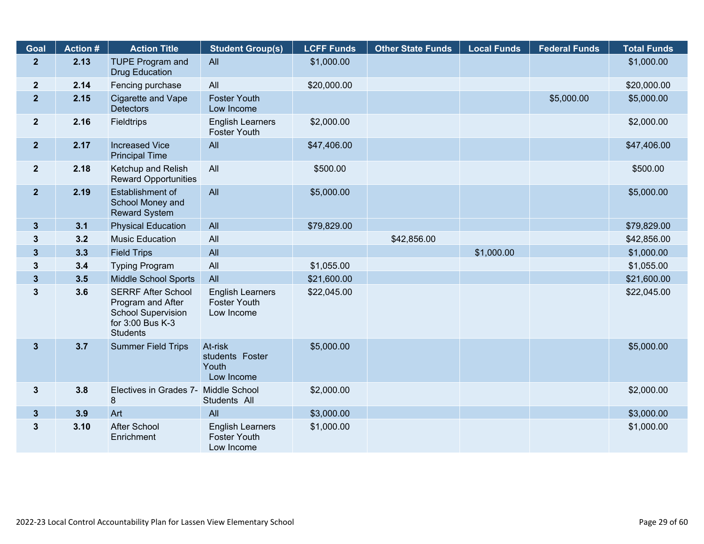| Goal           | <b>Action #</b> | <b>Action Title</b>                                                                                                | <b>Student Group(s)</b>                                      | <b>LCFF Funds</b> | <b>Other State Funds</b> | <b>Local Funds</b> | <b>Federal Funds</b> | <b>Total Funds</b> |
|----------------|-----------------|--------------------------------------------------------------------------------------------------------------------|--------------------------------------------------------------|-------------------|--------------------------|--------------------|----------------------|--------------------|
| 2 <sup>1</sup> | 2.13            | <b>TUPE Program and</b><br><b>Drug Education</b>                                                                   | All                                                          | \$1,000.00        |                          |                    |                      | \$1,000.00         |
| $\mathbf{2}$   | 2.14            | Fencing purchase                                                                                                   | All                                                          | \$20,000.00       |                          |                    |                      | \$20,000.00        |
| $\overline{2}$ | 2.15            | Cigarette and Vape<br><b>Detectors</b>                                                                             | <b>Foster Youth</b><br>Low Income                            |                   |                          |                    | \$5,000.00           | \$5,000.00         |
| 2 <sup>2</sup> | 2.16            | <b>Fieldtrips</b>                                                                                                  | <b>English Learners</b><br><b>Foster Youth</b>               | \$2,000.00        |                          |                    |                      | \$2,000.00         |
| 2 <sup>1</sup> | 2.17            | <b>Increased Vice</b><br><b>Principal Time</b>                                                                     | All                                                          | \$47,406.00       |                          |                    |                      | \$47,406.00        |
| 2 <sup>2</sup> | 2.18            | Ketchup and Relish<br><b>Reward Opportunities</b>                                                                  | All                                                          | \$500.00          |                          |                    |                      | \$500.00           |
| 2 <sub>2</sub> | 2.19            | Establishment of<br>School Money and<br><b>Reward System</b>                                                       | All                                                          | \$5,000.00        |                          |                    |                      | \$5,000.00         |
| $\mathbf{3}$   | 3.1             | <b>Physical Education</b>                                                                                          | All                                                          | \$79,829.00       |                          |                    |                      | \$79,829.00        |
| $\mathbf{3}$   | 3.2             | <b>Music Education</b>                                                                                             | All                                                          |                   | \$42,856.00              |                    |                      | \$42,856.00        |
| $\mathbf{3}$   | 3.3             | <b>Field Trips</b>                                                                                                 | All                                                          |                   |                          | \$1,000.00         |                      | \$1,000.00         |
| $\mathbf{3}$   | 3.4             | <b>Typing Program</b>                                                                                              | All                                                          | \$1,055.00        |                          |                    |                      | \$1,055.00         |
| $\mathbf{3}$   | 3.5             | <b>Middle School Sports</b>                                                                                        | All                                                          | \$21,600.00       |                          |                    |                      | \$21,600.00        |
| $\mathbf{3}$   | 3.6             | <b>SERRF After School</b><br>Program and After<br><b>School Supervision</b><br>for 3:00 Bus K-3<br><b>Students</b> | <b>English Learners</b><br><b>Foster Youth</b><br>Low Income | \$22,045.00       |                          |                    |                      | \$22,045.00        |
| $\mathbf{3}$   | 3.7             | <b>Summer Field Trips</b>                                                                                          | At-risk<br>students Foster<br>Youth<br>Low Income            | \$5,000.00        |                          |                    |                      | \$5,000.00         |
| $3\phantom{a}$ | 3.8             | Electives in Grades 7-<br>8                                                                                        | <b>Middle School</b><br>Students All                         | \$2,000.00        |                          |                    |                      | \$2,000.00         |
| $3\phantom{a}$ | 3.9             | Art                                                                                                                | All                                                          | \$3,000.00        |                          |                    |                      | \$3,000.00         |
| $\mathbf{3}$   | 3.10            | <b>After School</b><br>Enrichment                                                                                  | <b>English Learners</b><br><b>Foster Youth</b><br>Low Income | \$1,000.00        |                          |                    |                      | \$1,000.00         |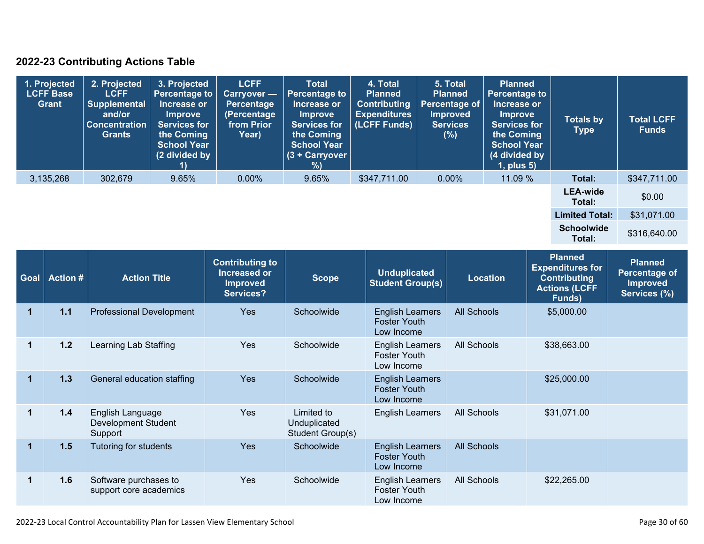### **2022-23 Contributing Actions Table**

| 1. Projected<br><b>LCFF Base</b><br>Grant | 2. Projected<br><b>LCFF</b><br><b>Supplemental</b><br>and/or<br><b>Concentration</b><br><b>Grants</b> | 3. Projected<br><b>Percentage to</b><br>Increase or<br><b>Improve</b><br><b>Services for</b><br>the Coming<br><b>School Year</b><br>(2 divided by | <b>LCFF</b><br><b>Carryover</b> —<br>Percentage<br>(Percentage<br>from Prior<br>Year) | <b>Total</b><br><b>Percentage to</b><br>Increase or<br><b>Improve</b><br><b>Services for</b><br>the Coming<br><b>School Year</b><br>$(3 + Carrow)$<br>%) | 4. Total<br><b>Planned</b><br><b>Contributing</b><br><b>Expenditures</b><br>(LCFF Funds) | 5. Total<br><b>Planned</b><br><b>Percentage of</b><br><b>Improved</b><br><b>Services</b><br>(%) | <b>Planned</b><br><b>Percentage to</b><br>Increase or<br><b>Improve</b><br><b>Services for</b><br>the Coming<br><b>School Year</b><br>(4 divided by<br>1, plus 5) | <b>Totals by</b><br><b>Type</b> | <b>Total LCFF</b><br><b>Funds</b> |
|-------------------------------------------|-------------------------------------------------------------------------------------------------------|---------------------------------------------------------------------------------------------------------------------------------------------------|---------------------------------------------------------------------------------------|----------------------------------------------------------------------------------------------------------------------------------------------------------|------------------------------------------------------------------------------------------|-------------------------------------------------------------------------------------------------|-------------------------------------------------------------------------------------------------------------------------------------------------------------------|---------------------------------|-----------------------------------|
| 3,135,268                                 | 302,679                                                                                               | 9.65%                                                                                                                                             | $0.00\%$                                                                              | 9.65%                                                                                                                                                    | \$347,711.00                                                                             | $0.00\%$                                                                                        | 11.09 %                                                                                                                                                           | Total:                          | \$347,711.00                      |
|                                           |                                                                                                       |                                                                                                                                                   |                                                                                       |                                                                                                                                                          |                                                                                          |                                                                                                 |                                                                                                                                                                   | <b>LEA-wide</b><br>Total:       | \$0.00                            |
|                                           |                                                                                                       |                                                                                                                                                   |                                                                                       |                                                                                                                                                          |                                                                                          |                                                                                                 |                                                                                                                                                                   | <b>Limited Total:</b>           | \$31,071.00                       |
|                                           |                                                                                                       |                                                                                                                                                   |                                                                                       |                                                                                                                                                          |                                                                                          |                                                                                                 |                                                                                                                                                                   | <b>Schoolwide</b><br>Total:     | \$316,640.00                      |

| <b>Goal</b> | <b>Action#</b> | <b>Action Title</b>                                       | <b>Contributing to</b><br>Increased or<br><b>Improved</b><br>Services? | <b>Scope</b>                                   | <b>Unduplicated</b><br><b>Student Group(s)</b>               | <b>Location</b>    | <b>Planned</b><br><b>Expenditures for</b><br><b>Contributing</b><br><b>Actions (LCFF</b><br>Funds) | <b>Planned</b><br><b>Percentage of</b><br><b>Improved</b><br>Services (%) |
|-------------|----------------|-----------------------------------------------------------|------------------------------------------------------------------------|------------------------------------------------|--------------------------------------------------------------|--------------------|----------------------------------------------------------------------------------------------------|---------------------------------------------------------------------------|
| 1           | $1.1$          | <b>Professional Development</b>                           | <b>Yes</b>                                                             | Schoolwide                                     | <b>English Learners</b><br><b>Foster Youth</b><br>Low Income | <b>All Schools</b> | \$5,000.00                                                                                         |                                                                           |
| 1           | $1.2$          | Learning Lab Staffing                                     | Yes                                                                    | Schoolwide                                     | <b>English Learners</b><br><b>Foster Youth</b><br>Low Income | All Schools        | \$38,663.00                                                                                        |                                                                           |
| $\mathbf 1$ | 1.3            | General education staffing                                | <b>Yes</b>                                                             | Schoolwide                                     | <b>English Learners</b><br><b>Foster Youth</b><br>Low Income |                    | \$25,000.00                                                                                        |                                                                           |
|             | 1.4            | English Language<br><b>Development Student</b><br>Support | Yes                                                                    | Limited to<br>Unduplicated<br>Student Group(s) | <b>English Learners</b>                                      | All Schools        | \$31,071.00                                                                                        |                                                                           |
| $\mathbf 1$ | 1.5            | Tutoring for students                                     | Yes                                                                    | Schoolwide                                     | <b>English Learners</b><br><b>Foster Youth</b><br>Low Income | <b>All Schools</b> |                                                                                                    |                                                                           |
|             | 1.6            | Software purchases to<br>support core academics           | <b>Yes</b>                                                             | Schoolwide                                     | <b>English Learners</b><br><b>Foster Youth</b><br>Low Income | All Schools        | \$22,265.00                                                                                        |                                                                           |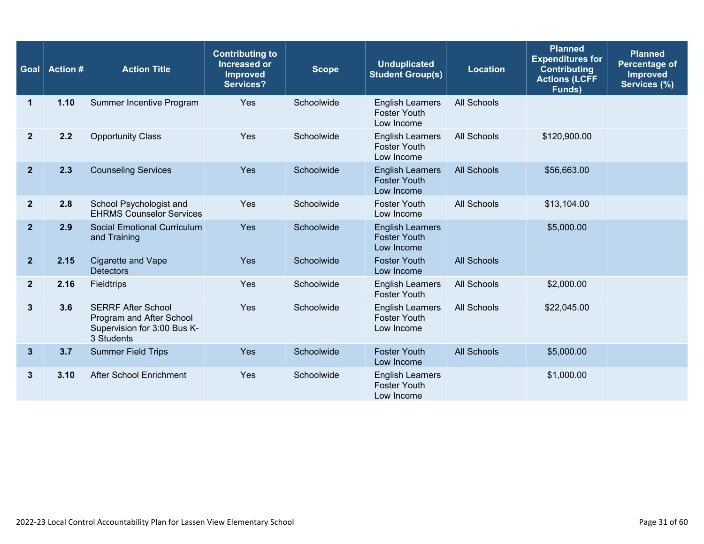| Goal           | <b>Action#</b> | <b>Action Title</b>                                                                                | <b>Contributing to</b><br>Increased or<br><b>Improved</b><br><b>Services?</b> | <b>Scope</b> | <b>Unduplicated</b><br><b>Student Group(s)</b>               | <b>Location</b>    | <b>Planned</b><br><b>Expenditures for</b><br><b>Contributing</b><br><b>Actions (LCFF</b><br>Funds) | <b>Planned</b><br><b>Percentage of</b><br><b>Improved</b><br>Services (%) |
|----------------|----------------|----------------------------------------------------------------------------------------------------|-------------------------------------------------------------------------------|--------------|--------------------------------------------------------------|--------------------|----------------------------------------------------------------------------------------------------|---------------------------------------------------------------------------|
| 1              | 1.10           | Summer Incentive Program                                                                           | Yes                                                                           | Schoolwide   | <b>English Learners</b><br><b>Foster Youth</b><br>Low Income | All Schools        |                                                                                                    |                                                                           |
| $\mathbf{2}$   | 2.2            | <b>Opportunity Class</b>                                                                           | Yes                                                                           | Schoolwide   | <b>English Learners</b><br><b>Foster Youth</b><br>Low Income | All Schools        | \$120,900.00                                                                                       |                                                                           |
| $\overline{2}$ | 2.3            | <b>Counseling Services</b>                                                                         | Yes                                                                           | Schoolwide   | <b>English Learners</b><br><b>Foster Youth</b><br>Low Income | <b>All Schools</b> | \$56,663.00                                                                                        |                                                                           |
| $\mathbf{2}$   | 2.8            | School Psychologist and<br><b>EHRMS Counselor Services</b>                                         | Yes                                                                           | Schoolwide   | <b>Foster Youth</b><br>Low Income                            | All Schools        | \$13,104.00                                                                                        |                                                                           |
| $\overline{2}$ | 2.9            | <b>Social Emotional Curriculum</b><br>and Training                                                 | Yes                                                                           | Schoolwide   | <b>English Learners</b><br><b>Foster Youth</b><br>Low Income |                    | \$5,000.00                                                                                         |                                                                           |
| $\mathbf{2}$   | 2.15           | Cigarette and Vape<br><b>Detectors</b>                                                             | Yes                                                                           | Schoolwide   | <b>Foster Youth</b><br>Low Income                            | <b>All Schools</b> |                                                                                                    |                                                                           |
| $\mathbf{2}$   | 2.16           | Fieldtrips                                                                                         | Yes                                                                           | Schoolwide   | <b>English Learners</b><br><b>Foster Youth</b>               | All Schools        | \$2,000.00                                                                                         |                                                                           |
| $\mathbf{3}$   | 3.6            | <b>SERRF After School</b><br>Program and After School<br>Supervision for 3:00 Bus K-<br>3 Students | Yes                                                                           | Schoolwide   | <b>English Learners</b><br><b>Foster Youth</b><br>Low Income | All Schools        | \$22,045.00                                                                                        |                                                                           |
| $\mathbf{3}$   | 3.7            | <b>Summer Field Trips</b>                                                                          | Yes                                                                           | Schoolwide   | <b>Foster Youth</b><br>Low Income                            | <b>All Schools</b> | \$5,000.00                                                                                         |                                                                           |
| 3              | 3.10           | After School Enrichment                                                                            | Yes                                                                           | Schoolwide   | <b>English Learners</b><br><b>Foster Youth</b><br>Low Income |                    | \$1,000.00                                                                                         |                                                                           |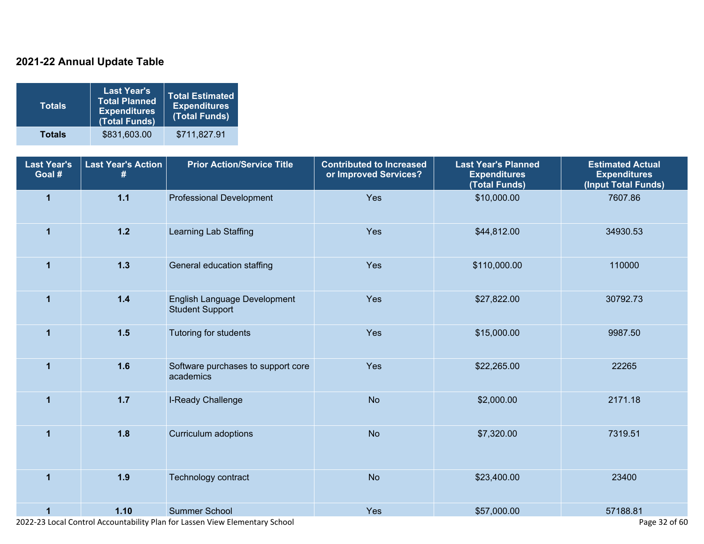### **2021-22 Annual Update Table**

| <b>Totals</b> | <b>Last Year's</b><br><b>Total Planned</b><br><b>Expenditures</b><br>(Total Funds) | Total Estimated<br><b>Expenditures</b><br>(Total Funds) |
|---------------|------------------------------------------------------------------------------------|---------------------------------------------------------|
| <b>Totals</b> | \$831,603.00                                                                       | \$711,827.91                                            |

| <b>Last Year's</b><br>Goal # | <b>Last Year's Action</b><br># | <b>Prior Action/Service Title</b>                      | <b>Contributed to Increased</b><br>or Improved Services? | <b>Last Year's Planned</b><br><b>Expenditures</b><br>(Total Funds) | <b>Estimated Actual</b><br><b>Expenditures</b><br>(Input Total Funds) |
|------------------------------|--------------------------------|--------------------------------------------------------|----------------------------------------------------------|--------------------------------------------------------------------|-----------------------------------------------------------------------|
| $\mathbf{1}$                 | $1.1$                          | <b>Professional Development</b>                        | Yes                                                      | \$10,000.00                                                        | 7607.86                                                               |
| $\blacktriangleleft$         | $1.2$                          | Learning Lab Staffing                                  | Yes                                                      | \$44,812.00                                                        | 34930.53                                                              |
| $\blacktriangleleft$         | $1.3$                          | General education staffing                             | Yes                                                      | \$110,000.00                                                       | 110000                                                                |
| $\mathbf{1}$                 | $1.4$                          | English Language Development<br><b>Student Support</b> | Yes                                                      | \$27,822.00                                                        | 30792.73                                                              |
| $\mathbf{1}$                 | $1.5$                          | Tutoring for students                                  | Yes                                                      | \$15,000.00                                                        | 9987.50                                                               |
| 1                            | 1.6                            | Software purchases to support core<br>academics        | Yes                                                      | \$22,265.00                                                        | 22265                                                                 |
| $\mathbf{1}$                 | $1.7$                          | I-Ready Challenge                                      | <b>No</b>                                                | \$2,000.00                                                         | 2171.18                                                               |
| 1                            | 1.8                            | Curriculum adoptions                                   | <b>No</b>                                                | \$7,320.00                                                         | 7319.51                                                               |
| $\overline{1}$               | 1.9                            | Technology contract                                    | <b>No</b>                                                | \$23,400.00                                                        | 23400                                                                 |
| 1                            | 1.10                           | Summer School                                          | Yes                                                      | \$57,000.00                                                        | 57188.81                                                              |

2022-23 Local Control Accountability Plan for Lassen View Elementary School Page 32 of 60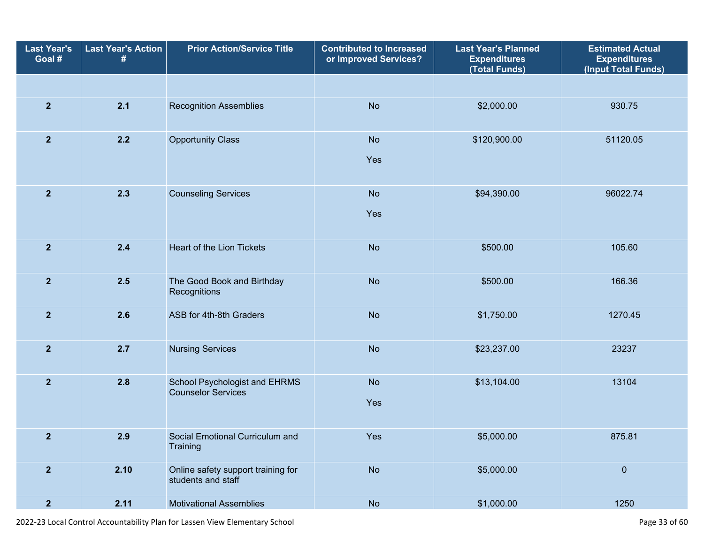| <b>Last Year's</b><br>Goal # | <b>Last Year's Action</b><br># | <b>Prior Action/Service Title</b>                          | <b>Contributed to Increased</b><br>or Improved Services? | <b>Last Year's Planned</b><br><b>Expenditures</b><br>(Total Funds) | <b>Estimated Actual</b><br><b>Expenditures</b><br>(Input Total Funds) |
|------------------------------|--------------------------------|------------------------------------------------------------|----------------------------------------------------------|--------------------------------------------------------------------|-----------------------------------------------------------------------|
|                              |                                |                                                            |                                                          |                                                                    |                                                                       |
| $\overline{2}$               | 2.1                            | <b>Recognition Assemblies</b>                              | <b>No</b>                                                | \$2,000.00                                                         | 930.75                                                                |
| $\overline{2}$               | 2.2                            | <b>Opportunity Class</b>                                   | <b>No</b><br>Yes                                         | \$120,900.00                                                       | 51120.05                                                              |
| $\overline{2}$               | 2.3                            | <b>Counseling Services</b><br><b>No</b><br>Yes             |                                                          | \$94,390.00                                                        | 96022.74                                                              |
| $\overline{2}$               | 2.4                            | Heart of the Lion Tickets<br><b>No</b>                     |                                                          | \$500.00                                                           | 105.60                                                                |
| $\overline{2}$               | 2.5                            | The Good Book and Birthday<br>Recognitions                 |                                                          | \$500.00                                                           | 166.36                                                                |
| $\mathbf{2}$                 | 2.6                            | ASB for 4th-8th Graders                                    | <b>No</b>                                                | \$1,750.00                                                         | 1270.45                                                               |
| $\overline{2}$               | 2.7                            | <b>Nursing Services</b>                                    | <b>No</b>                                                | \$23,237.00                                                        | 23237                                                                 |
| $\overline{2}$               | 2.8                            | School Psychologist and EHRMS<br><b>Counselor Services</b> | <b>No</b><br>Yes                                         | \$13,104.00                                                        | 13104                                                                 |
| $\overline{2}$               | 2.9                            | Social Emotional Curriculum and<br>Training                | Yes                                                      | \$5,000.00                                                         | 875.81                                                                |
| $\overline{2}$               | 2.10                           | Online safety support training for<br>students and staff   | No                                                       | \$5,000.00                                                         | $\pmb{0}$                                                             |
| $\overline{2}$               | 2.11                           | <b>Motivational Assemblies</b>                             | No                                                       | \$1,000.00                                                         | 1250                                                                  |

2022-23 Local Control Accountability Plan for Lassen View Elementary School **Page 33** of 60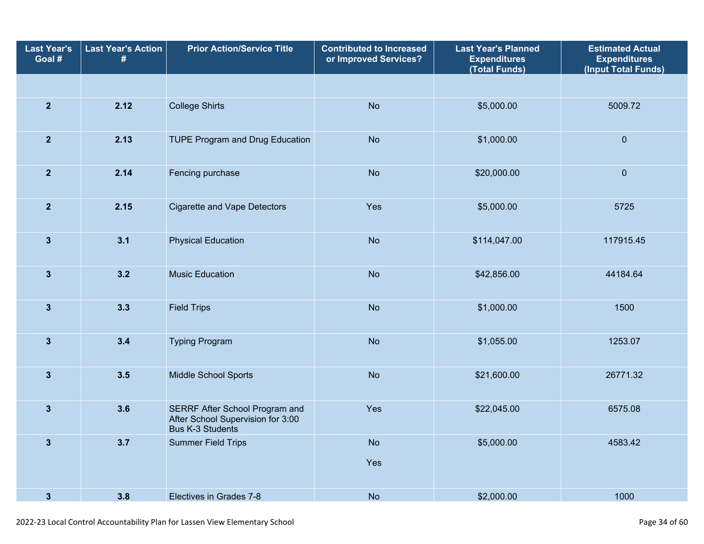| <b>Last Year's</b><br>Goal # | <b>Last Year's Action</b><br>#                                                                        | <b>Prior Action/Service Title</b> | <b>Contributed to Increased</b><br>or Improved Services? | <b>Last Year's Planned</b><br><b>Expenditures</b><br>(Total Funds) | <b>Estimated Actual</b><br><b>Expenditures</b><br>(Input Total Funds) |
|------------------------------|-------------------------------------------------------------------------------------------------------|-----------------------------------|----------------------------------------------------------|--------------------------------------------------------------------|-----------------------------------------------------------------------|
|                              |                                                                                                       |                                   |                                                          |                                                                    |                                                                       |
| $\overline{2}$               | 2.12                                                                                                  | <b>College Shirts</b>             | <b>No</b>                                                | \$5,000.00                                                         | 5009.72                                                               |
| $\overline{2}$               | 2.13                                                                                                  | TUPE Program and Drug Education   | <b>No</b>                                                | \$1,000.00                                                         | $\pmb{0}$                                                             |
| $\overline{2}$               | 2.14                                                                                                  | Fencing purchase                  | <b>No</b>                                                | \$20,000.00                                                        |                                                                       |
| $\mathbf{2}$                 | 2.15<br><b>Cigarette and Vape Detectors</b>                                                           |                                   | Yes                                                      | \$5,000.00                                                         | 5725                                                                  |
| $\mathbf{3}$                 | 3.1                                                                                                   | <b>Physical Education</b>         | <b>No</b><br>\$114,047.00                                |                                                                    | 117915.45                                                             |
| $\mathbf{3}$                 | 3.2                                                                                                   | <b>Music Education</b>            | <b>No</b><br>\$42,856.00                                 |                                                                    | 44184.64                                                              |
| $\mathbf{3}$                 | 3.3                                                                                                   | <b>Field Trips</b>                | <b>No</b>                                                | \$1,000.00                                                         | 1500                                                                  |
| $\overline{\mathbf{3}}$      | 3.4                                                                                                   | <b>Typing Program</b>             | <b>No</b>                                                | \$1,055.00                                                         | 1253.07                                                               |
| $\mathbf{3}$                 | 3.5                                                                                                   | <b>Middle School Sports</b>       | <b>No</b>                                                | \$21,600.00                                                        | 26771.32                                                              |
| $\mathbf{3}$                 | 3.6<br>SERRF After School Program and<br>After School Supervision for 3:00<br><b>Bus K-3 Students</b> |                                   | Yes                                                      | \$22,045.00                                                        | 6575.08                                                               |
| $\mathbf{3}$                 | 3.7                                                                                                   | <b>Summer Field Trips</b>         | <b>No</b><br>Yes                                         | \$5,000.00                                                         | 4583.42                                                               |
| $\mathbf{3}$                 | 3.8                                                                                                   | Electives in Grades 7-8           | <b>No</b>                                                | \$2,000.00                                                         | 1000                                                                  |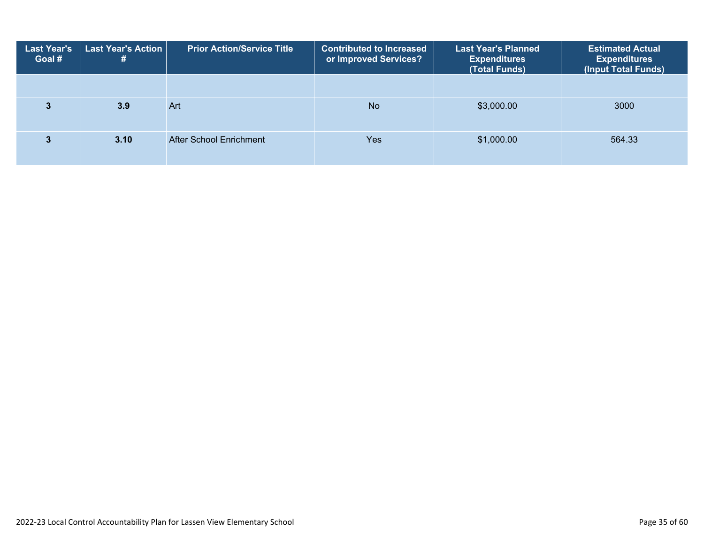| <b>Last Year's</b><br>Goal # | Last Year's Action<br># | <b>Prior Action/Service Title</b> | <b>Contributed to Increased</b><br>or Improved Services? | <b>Last Year's Planned</b><br><b>Expenditures</b><br>(Total Funds) | <b>Estimated Ac<u>tual</u></b><br><b>Expenditures</b><br>(Input Total Funds) |
|------------------------------|-------------------------|-----------------------------------|----------------------------------------------------------|--------------------------------------------------------------------|------------------------------------------------------------------------------|
|                              |                         |                                   |                                                          |                                                                    |                                                                              |
|                              | 3.9                     | Art                               | <b>No</b>                                                | \$3,000.00                                                         | 3000                                                                         |
|                              | 3.10                    | After School Enrichment           | Yes                                                      | \$1,000.00                                                         | 564.33                                                                       |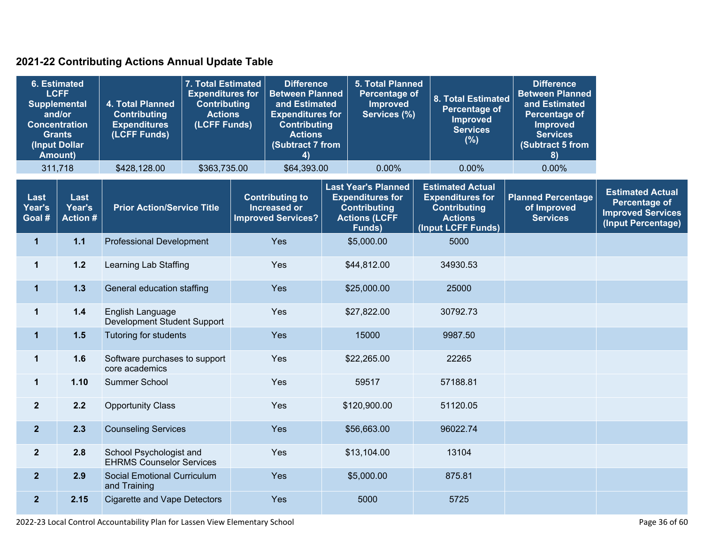### **2021-22 Contributing Actions Annual Update Table**

|                          | <b>6. Estimated</b><br><b>LCFF</b><br><b>Supplemental</b><br>and/or<br><b>Concentration</b><br><b>Grants</b><br>(Input Dollar<br><b>Amount)</b> | 4. Total Planned<br><b>Contributing</b><br><b>Expenditures</b><br>(LCFF Funds) | 7. Total Estimated<br><b>Expenditures for</b><br><b>Contributing</b><br><b>Actions</b><br>(LCFF Funds) |     | <b>Difference</b><br><b>Between Planned</b><br>and Estimated<br><b>Expenditures for</b><br><b>Contributing</b><br><b>Actions</b><br>(Subtract 7 from<br>4) | <b>5. Total Planned</b><br><b>Percentage of</b><br>Improved<br>Services (%)                                    | <b>8. Total Estimated</b><br><b>Percentage of</b><br><b>Improved</b><br><b>Services</b><br>(%)                    | <b>Difference</b><br><b>Between Planned</b><br>and Estimated<br>Percentage of<br><b>Improved</b><br><b>Services</b><br>Subtract 5 from<br>8) |                                                                                                   |
|--------------------------|-------------------------------------------------------------------------------------------------------------------------------------------------|--------------------------------------------------------------------------------|--------------------------------------------------------------------------------------------------------|-----|------------------------------------------------------------------------------------------------------------------------------------------------------------|----------------------------------------------------------------------------------------------------------------|-------------------------------------------------------------------------------------------------------------------|----------------------------------------------------------------------------------------------------------------------------------------------|---------------------------------------------------------------------------------------------------|
|                          | 311,718                                                                                                                                         | \$428,128.00                                                                   | \$363,735.00                                                                                           |     | \$64,393.00                                                                                                                                                | 0.00%                                                                                                          | 0.00%                                                                                                             | 0.00%                                                                                                                                        |                                                                                                   |
| Last<br>Year's<br>Goal # | Last<br>Year's<br><b>Action#</b>                                                                                                                | <b>Prior Action/Service Title</b>                                              |                                                                                                        |     | <b>Contributing to</b><br>Increased or<br><b>Improved Services?</b>                                                                                        | <b>Last Year's Planned</b><br><b>Expenditures for</b><br><b>Contributing</b><br><b>Actions (LCFF</b><br>Funds) | <b>Estimated Actual</b><br><b>Expenditures for</b><br><b>Contributing</b><br><b>Actions</b><br>(Input LCFF Funds) | <b>Planned Percentage</b><br>of Improved<br><b>Services</b>                                                                                  | <b>Estimated Actual</b><br><b>Percentage of</b><br><b>Improved Services</b><br>(Input Percentage) |
| $\mathbf{1}$             | $1.1$                                                                                                                                           | <b>Professional Development</b>                                                |                                                                                                        |     | Yes                                                                                                                                                        | \$5,000.00                                                                                                     | 5000                                                                                                              |                                                                                                                                              |                                                                                                   |
| $\mathbf{1}$             | $1.2$                                                                                                                                           | Learning Lab Staffing                                                          |                                                                                                        |     | Yes                                                                                                                                                        | \$44,812.00                                                                                                    | 34930.53                                                                                                          |                                                                                                                                              |                                                                                                   |
| $\mathbf 1$              | $1.3$                                                                                                                                           | General education staffing                                                     |                                                                                                        | Yes |                                                                                                                                                            | \$25,000.00                                                                                                    | 25000                                                                                                             |                                                                                                                                              |                                                                                                   |
| $\mathbf 1$              | $1.4$                                                                                                                                           | English Language<br>Development Student Support                                |                                                                                                        |     | Yes                                                                                                                                                        | \$27,822.00                                                                                                    | 30792.73                                                                                                          |                                                                                                                                              |                                                                                                   |
| $\mathbf 1$              | 1.5                                                                                                                                             | Tutoring for students                                                          |                                                                                                        |     | Yes                                                                                                                                                        | 15000                                                                                                          | 9987.50                                                                                                           |                                                                                                                                              |                                                                                                   |
| $\mathbf{1}$             | 1.6                                                                                                                                             | Software purchases to support<br>core academics                                |                                                                                                        |     | Yes                                                                                                                                                        | \$22,265.00                                                                                                    | 22265                                                                                                             |                                                                                                                                              |                                                                                                   |
| $\mathbf 1$              | 1.10                                                                                                                                            | Summer School                                                                  |                                                                                                        |     | Yes                                                                                                                                                        | 59517                                                                                                          | 57188.81                                                                                                          |                                                                                                                                              |                                                                                                   |
| $\overline{2}$           | 2.2                                                                                                                                             | <b>Opportunity Class</b>                                                       |                                                                                                        |     | Yes                                                                                                                                                        | \$120,900.00                                                                                                   | 51120.05                                                                                                          |                                                                                                                                              |                                                                                                   |
| $\overline{2}$           | 2.3                                                                                                                                             | <b>Counseling Services</b>                                                     |                                                                                                        |     | Yes                                                                                                                                                        | \$56,663.00                                                                                                    | 96022.74                                                                                                          |                                                                                                                                              |                                                                                                   |
| $\overline{2}$           | 2.8                                                                                                                                             | School Psychologist and<br><b>EHRMS Counselor Services</b>                     |                                                                                                        |     | Yes                                                                                                                                                        | \$13,104.00                                                                                                    | 13104                                                                                                             |                                                                                                                                              |                                                                                                   |
| $\overline{2}$           | 2.9                                                                                                                                             | Social Emotional Curriculum<br>and Training                                    |                                                                                                        |     | Yes                                                                                                                                                        | \$5,000.00                                                                                                     | 875.81                                                                                                            |                                                                                                                                              |                                                                                                   |
| $\overline{2}$           | 2.15                                                                                                                                            | <b>Cigarette and Vape Detectors</b>                                            |                                                                                                        |     | Yes                                                                                                                                                        | 5000                                                                                                           | 5725                                                                                                              |                                                                                                                                              |                                                                                                   |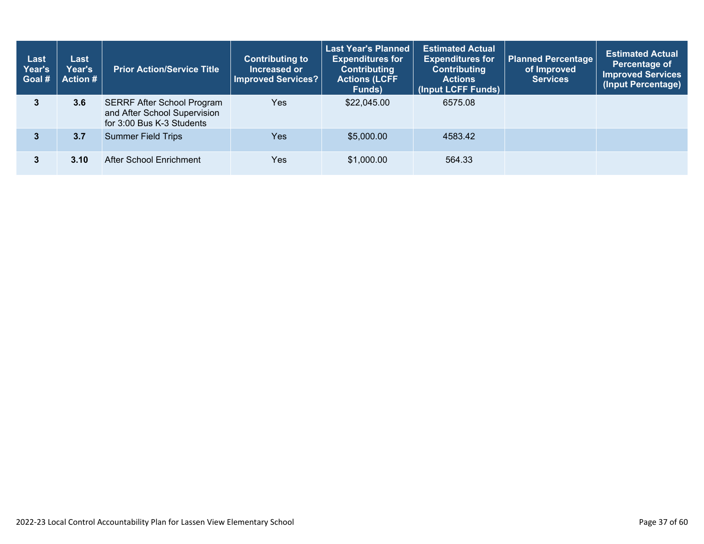| Last<br>Year's<br>Goal # | Last<br>Year's<br>Action # | <b>Prior Action/Service Title</b>                                                              | <b>Last Year's Planned</b><br><b>Estimated Actual</b><br><b>Contributing to</b><br><b>Expenditures for</b><br><b>Expenditures for</b><br>Increased or<br><b>Contributing</b><br><b>Contributing</b><br>Improved Services?<br><b>Actions (LCFF</b><br><b>Actions</b><br>(Input LCFF Funds)<br>Funds) |             | <b>Planned Percentage</b><br>of Improved<br><b>Services</b> | <b>Estimated Actual</b><br>Percentage of<br><b>Improved Services</b><br>(Input Percentage) |  |
|--------------------------|----------------------------|------------------------------------------------------------------------------------------------|-----------------------------------------------------------------------------------------------------------------------------------------------------------------------------------------------------------------------------------------------------------------------------------------------------|-------------|-------------------------------------------------------------|--------------------------------------------------------------------------------------------|--|
| 3                        | 3.6                        | <b>SERRF After School Program</b><br>and After School Supervision<br>for 3:00 Bus K-3 Students | Yes                                                                                                                                                                                                                                                                                                 | \$22,045.00 | 6575.08                                                     |                                                                                            |  |
| 3                        | 3.7                        | <b>Summer Field Trips</b>                                                                      | <b>Yes</b>                                                                                                                                                                                                                                                                                          | \$5,000.00  | 4583.42                                                     |                                                                                            |  |
|                          | 3.10                       | After School Enrichment                                                                        | Yes                                                                                                                                                                                                                                                                                                 | \$1,000.00  | 564.33                                                      |                                                                                            |  |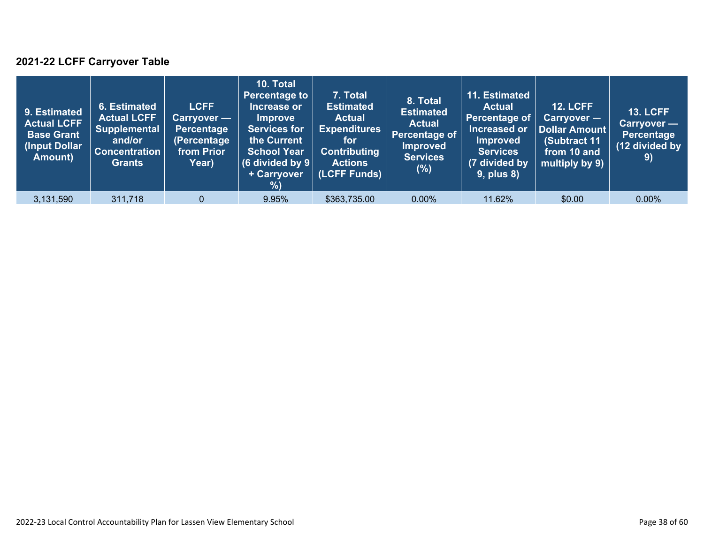### **2021-22 LCFF Carryover Table**

| 9. Estimated<br><b>Actual LCFF</b><br><b>Base Grant</b><br>(Input Dollar)<br>Amount) | 6. Estimated<br><b>Actual LCFF</b><br><b>Supplemental</b><br>and/or<br><b>Concentration</b><br><b>Grants</b> | <b>LCFF</b><br>Carryover —<br>Percentage<br>(Percentage<br>from Prior<br>Year) | 10. Total<br><b>Percentage to</b><br>Increase or<br><b>Improve</b><br><b>Services for</b><br>the Current<br><b>School Year</b><br>(6 divided by $9$ $ $<br>+ Carryover<br>%) | 7. Total<br><b>Estimated</b><br><b>Actual</b><br><b>Expenditures</b><br>for<br><b>Contributing</b><br><b>Actions</b><br>(LCFF Funds) | 8. Total<br><b>Estimated</b><br><b>Actual</b><br>Percentage of<br><b>Improved</b><br><b>Services</b><br>(%) | 11. Estimated<br><b>Actual</b><br>Percentage of<br>Increased or<br><b>Improved</b><br><b>Services</b><br>(7 divided by<br><b>9, plus 8)</b> | <b>12. LCFF</b><br>Carryover -<br>Dollar Amount<br>(Subtract 11<br>from 10 and<br>multiply by 9) | <b>13. LCFF</b><br>Carryover —<br><b>Percentage</b><br>(12 divided by<br>9) |
|--------------------------------------------------------------------------------------|--------------------------------------------------------------------------------------------------------------|--------------------------------------------------------------------------------|------------------------------------------------------------------------------------------------------------------------------------------------------------------------------|--------------------------------------------------------------------------------------------------------------------------------------|-------------------------------------------------------------------------------------------------------------|---------------------------------------------------------------------------------------------------------------------------------------------|--------------------------------------------------------------------------------------------------|-----------------------------------------------------------------------------|
| 3,131,590                                                                            | 311,718                                                                                                      | $\overline{0}$                                                                 | 9.95%                                                                                                                                                                        | \$363,735.00                                                                                                                         | $0.00\%$                                                                                                    | 11.62%                                                                                                                                      | \$0.00                                                                                           | $0.00\%$                                                                    |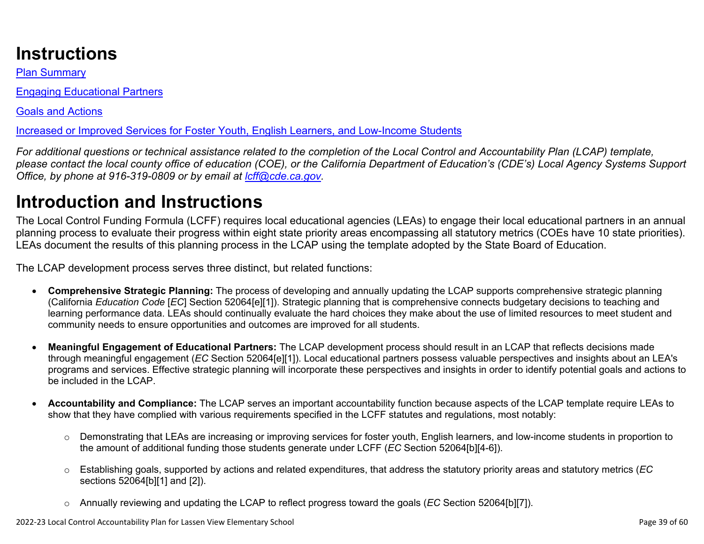# **Instructions**

Plan Summary

Engaging Educational Partners

Goals and Actions

Increased or Improved Services for Foster Youth, English Learners, and Low-Income Students

*For additional questions or technical assistance related to the completion of the Local Control and Accountability Plan (LCAP) template, please contact the local county office of education (COE), or the California Department of Education's (CDE's) Local Agency Systems Support Office, by phone at 916-319-0809 or by email at [lcff@cde.ca.gov](mailto:lcff@cde.ca.gov).*

# **Introduction and Instructions**

The Local Control Funding Formula (LCFF) requires local educational agencies (LEAs) to engage their local educational partners in an annual planning process to evaluate their progress within eight state priority areas encompassing all statutory metrics (COEs have 10 state priorities). LEAs document the results of this planning process in the LCAP using the template adopted by the State Board of Education.

The LCAP development process serves three distinct, but related functions:

- **Comprehensive Strategic Planning:** The process of developing and annually updating the LCAP supports comprehensive strategic planning (California *Education Code* [*EC*] Section 52064[e][1]). Strategic planning that is comprehensive connects budgetary decisions to teaching and learning performance data. LEAs should continually evaluate the hard choices they make about the use of limited resources to meet student and community needs to ensure opportunities and outcomes are improved for all students.
- **Meaningful Engagement of Educational Partners:** The LCAP development process should result in an LCAP that reflects decisions made through meaningful engagement (*EC* Section 52064[e][1]). Local educational partners possess valuable perspectives and insights about an LEA's programs and services. Effective strategic planning will incorporate these perspectives and insights in order to identify potential goals and actions to be included in the LCAP.
- **Accountability and Compliance:** The LCAP serves an important accountability function because aspects of the LCAP template require LEAs to show that they have complied with various requirements specified in the LCFF statutes and regulations, most notably:
	- o Demonstrating that LEAs are increasing or improving services for foster youth, English learners, and low-income students in proportion to the amount of additional funding those students generate under LCFF (*EC* Section 52064[b][4-6]).
	- o Establishing goals, supported by actions and related expenditures, that address the statutory priority areas and statutory metrics (*EC* sections 52064[b][1] and [2]).
	- o Annually reviewing and updating the LCAP to reflect progress toward the goals (*EC* Section 52064[b][7]).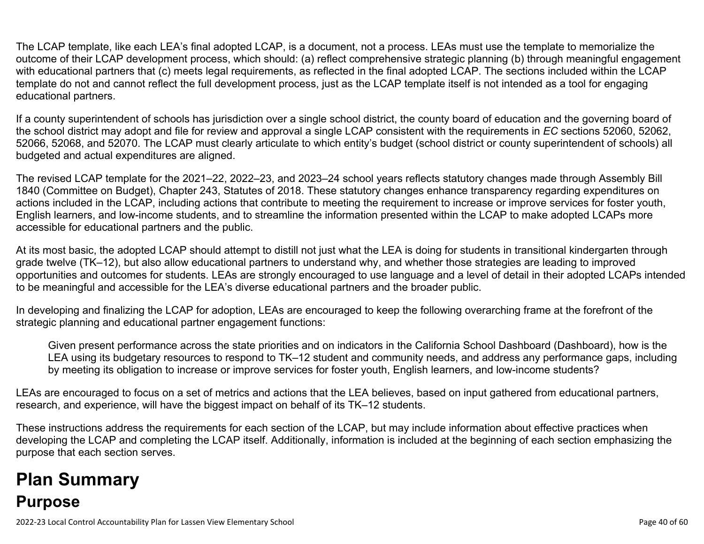The LCAP template, like each LEA's final adopted LCAP, is a document, not a process. LEAs must use the template to memorialize the outcome of their LCAP development process, which should: (a) reflect comprehensive strategic planning (b) through meaningful engagement with educational partners that (c) meets legal requirements, as reflected in the final adopted LCAP. The sections included within the LCAP template do not and cannot reflect the full development process, just as the LCAP template itself is not intended as a tool for engaging educational partners.

If a county superintendent of schools has jurisdiction over a single school district, the county board of education and the governing board of the school district may adopt and file for review and approval a single LCAP consistent with the requirements in *EC* sections 52060, 52062, 52066, 52068, and 52070. The LCAP must clearly articulate to which entity's budget (school district or county superintendent of schools) all budgeted and actual expenditures are aligned.

The revised LCAP template for the 2021–22, 2022–23, and 2023–24 school years reflects statutory changes made through Assembly Bill 1840 (Committee on Budget), Chapter 243, Statutes of 2018. These statutory changes enhance transparency regarding expenditures on actions included in the LCAP, including actions that contribute to meeting the requirement to increase or improve services for foster youth, English learners, and low-income students, and to streamline the information presented within the LCAP to make adopted LCAPs more accessible for educational partners and the public.

At its most basic, the adopted LCAP should attempt to distill not just what the LEA is doing for students in transitional kindergarten through grade twelve (TK–12), but also allow educational partners to understand why, and whether those strategies are leading to improved opportunities and outcomes for students. LEAs are strongly encouraged to use language and a level of detail in their adopted LCAPs intended to be meaningful and accessible for the LEA's diverse educational partners and the broader public.

In developing and finalizing the LCAP for adoption, LEAs are encouraged to keep the following overarching frame at the forefront of the strategic planning and educational partner engagement functions:

Given present performance across the state priorities and on indicators in the California School Dashboard (Dashboard), how is the LEA using its budgetary resources to respond to TK–12 student and community needs, and address any performance gaps, including by meeting its obligation to increase or improve services for foster youth, English learners, and low-income students?

LEAs are encouraged to focus on a set of metrics and actions that the LEA believes, based on input gathered from educational partners, research, and experience, will have the biggest impact on behalf of its TK–12 students.

These instructions address the requirements for each section of the LCAP, but may include information about effective practices when developing the LCAP and completing the LCAP itself. Additionally, information is included at the beginning of each section emphasizing the purpose that each section serves.

# **Plan Summary Purpose**

2022-23 Local Control Accountability Plan for Lassen View Elementary School Page 40 of 60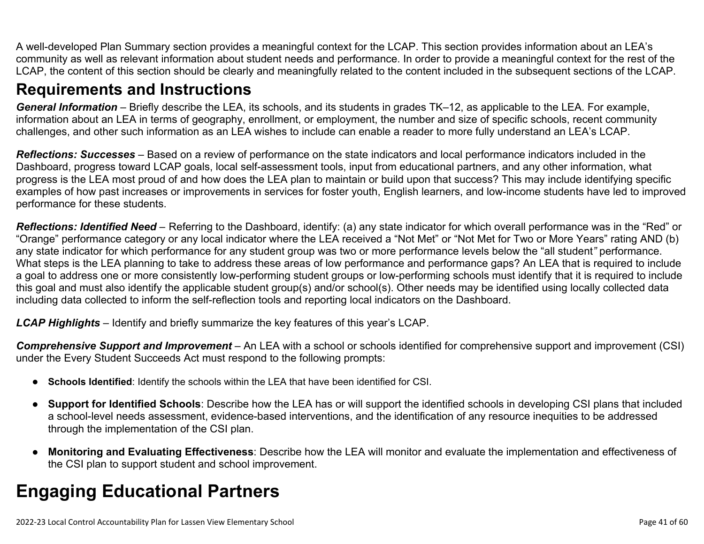A well-developed Plan Summary section provides a meaningful context for the LCAP. This section provides information about an LEA's community as well as relevant information about student needs and performance. In order to provide a meaningful context for the rest of the LCAP, the content of this section should be clearly and meaningfully related to the content included in the subsequent sections of the LCAP.

### **Requirements and Instructions**

*General Information* – Briefly describe the LEA, its schools, and its students in grades TK–12, as applicable to the LEA. For example, information about an LEA in terms of geography, enrollment, or employment, the number and size of specific schools, recent community challenges, and other such information as an LEA wishes to include can enable a reader to more fully understand an LEA's LCAP.

*Reflections: Successes* – Based on a review of performance on the state indicators and local performance indicators included in the Dashboard, progress toward LCAP goals, local self-assessment tools, input from educational partners, and any other information, what progress is the LEA most proud of and how does the LEA plan to maintain or build upon that success? This may include identifying specific examples of how past increases or improvements in services for foster youth, English learners, and low-income students have led to improved performance for these students.

*Reflections: Identified Need* – Referring to the Dashboard, identify: (a) any state indicator for which overall performance was in the "Red" or "Orange" performance category or any local indicator where the LEA received a "Not Met" or "Not Met for Two or More Years" rating AND (b) any state indicator for which performance for any student group was two or more performance levels below the "all student*"* performance. What steps is the LEA planning to take to address these areas of low performance and performance gaps? An LEA that is required to include a goal to address one or more consistently low-performing student groups or low-performing schools must identify that it is required to include this goal and must also identify the applicable student group(s) and/or school(s). Other needs may be identified using locally collected data including data collected to inform the self-reflection tools and reporting local indicators on the Dashboard.

*LCAP Highlights* – Identify and briefly summarize the key features of this year's LCAP.

*Comprehensive Support and Improvement* – An LEA with a school or schools identified for comprehensive support and improvement (CSI) under the Every Student Succeeds Act must respond to the following prompts:

- **Schools Identified**: Identify the schools within the LEA that have been identified for CSI.
- **Support for Identified Schools**: Describe how the LEA has or will support the identified schools in developing CSI plans that included a school-level needs assessment, evidence-based interventions, and the identification of any resource inequities to be addressed through the implementation of the CSI plan.
- **Monitoring and Evaluating Effectiveness**: Describe how the LEA will monitor and evaluate the implementation and effectiveness of the CSI plan to support student and school improvement.

# **Engaging Educational Partners**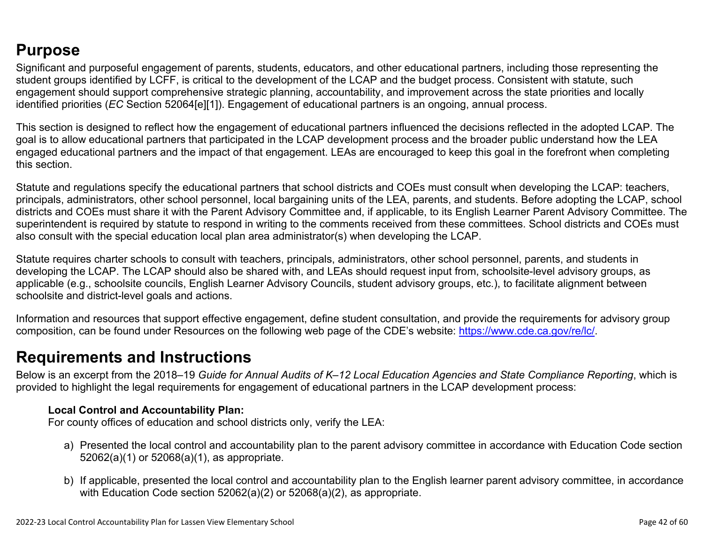### **Purpose**

Significant and purposeful engagement of parents, students, educators, and other educational partners, including those representing the student groups identified by LCFF, is critical to the development of the LCAP and the budget process. Consistent with statute, such engagement should support comprehensive strategic planning, accountability, and improvement across the state priorities and locally identified priorities (*EC* Section 52064[e][1]). Engagement of educational partners is an ongoing, annual process.

This section is designed to reflect how the engagement of educational partners influenced the decisions reflected in the adopted LCAP. The goal is to allow educational partners that participated in the LCAP development process and the broader public understand how the LEA engaged educational partners and the impact of that engagement. LEAs are encouraged to keep this goal in the forefront when completing this section.

Statute and regulations specify the educational partners that school districts and COEs must consult when developing the LCAP: teachers, principals, administrators, other school personnel, local bargaining units of the LEA, parents, and students. Before adopting the LCAP, school districts and COEs must share it with the Parent Advisory Committee and, if applicable, to its English Learner Parent Advisory Committee. The superintendent is required by statute to respond in writing to the comments received from these committees. School districts and COEs must also consult with the special education local plan area administrator(s) when developing the LCAP.

Statute requires charter schools to consult with teachers, principals, administrators, other school personnel, parents, and students in developing the LCAP. The LCAP should also be shared with, and LEAs should request input from, schoolsite-level advisory groups, as applicable (e.g., schoolsite councils, English Learner Advisory Councils, student advisory groups, etc.), to facilitate alignment between schoolsite and district-level goals and actions.

Information and resources that support effective engagement, define student consultation, and provide the requirements for advisory group composition, can be found under Resources on the following web page of the CDE's website: <https://www.cde.ca.gov/re/lc/>.

### **Requirements and Instructions**

Below is an excerpt from the 2018–19 *Guide for Annual Audits of K–12 Local Education Agencies and State Compliance Reporting*, which is provided to highlight the legal requirements for engagement of educational partners in the LCAP development process:

#### **Local Control and Accountability Plan:**

For county offices of education and school districts only, verify the LEA:

- a) Presented the local control and accountability plan to the parent advisory committee in accordance with Education Code section 52062(a)(1) or 52068(a)(1), as appropriate.
- b) If applicable, presented the local control and accountability plan to the English learner parent advisory committee, in accordance with Education Code section 52062(a)(2) or 52068(a)(2), as appropriate.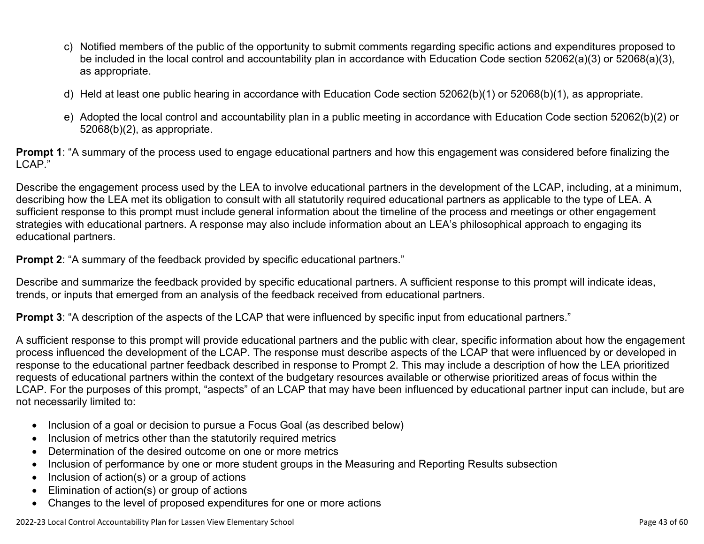- c) Notified members of the public of the opportunity to submit comments regarding specific actions and expenditures proposed to be included in the local control and accountability plan in accordance with Education Code section 52062(a)(3) or 52068(a)(3), as appropriate.
- d) Held at least one public hearing in accordance with Education Code section 52062(b)(1) or 52068(b)(1), as appropriate.
- e) Adopted the local control and accountability plan in a public meeting in accordance with Education Code section 52062(b)(2) or 52068(b)(2), as appropriate.

**Prompt 1**: "A summary of the process used to engage educational partners and how this engagement was considered before finalizing the LCAP."

Describe the engagement process used by the LEA to involve educational partners in the development of the LCAP, including, at a minimum, describing how the LEA met its obligation to consult with all statutorily required educational partners as applicable to the type of LEA. A sufficient response to this prompt must include general information about the timeline of the process and meetings or other engagement strategies with educational partners. A response may also include information about an LEA's philosophical approach to engaging its educational partners.

**Prompt 2:** "A summary of the feedback provided by specific educational partners."

Describe and summarize the feedback provided by specific educational partners. A sufficient response to this prompt will indicate ideas, trends, or inputs that emerged from an analysis of the feedback received from educational partners.

**Prompt 3**: "A description of the aspects of the LCAP that were influenced by specific input from educational partners."

A sufficient response to this prompt will provide educational partners and the public with clear, specific information about how the engagement process influenced the development of the LCAP. The response must describe aspects of the LCAP that were influenced by or developed in response to the educational partner feedback described in response to Prompt 2. This may include a description of how the LEA prioritized requests of educational partners within the context of the budgetary resources available or otherwise prioritized areas of focus within the LCAP. For the purposes of this prompt, "aspects" of an LCAP that may have been influenced by educational partner input can include, but are not necessarily limited to:

- Inclusion of a goal or decision to pursue a Focus Goal (as described below)
- Inclusion of metrics other than the statutorily required metrics
- Determination of the desired outcome on one or more metrics
- Inclusion of performance by one or more student groups in the Measuring and Reporting Results subsection
- Inclusion of action(s) or a group of actions
- Elimination of action(s) or group of actions
- Changes to the level of proposed expenditures for one or more actions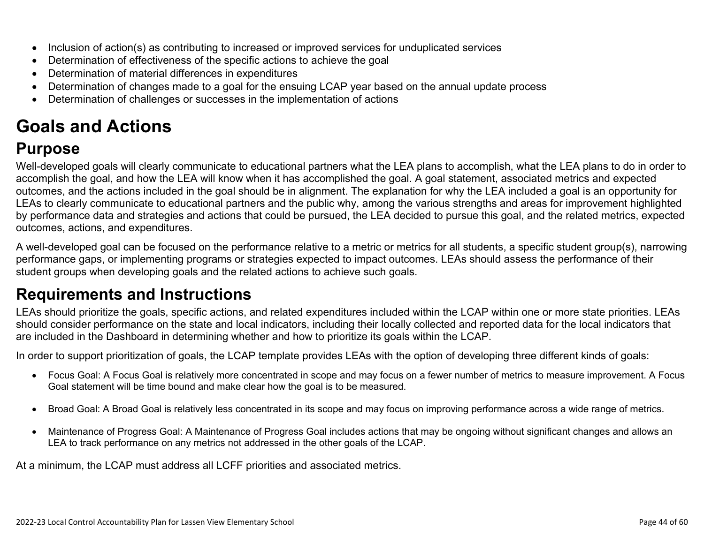- Inclusion of action(s) as contributing to increased or improved services for unduplicated services
- Determination of effectiveness of the specific actions to achieve the goal
- Determination of material differences in expenditures
- Determination of changes made to a goal for the ensuing LCAP year based on the annual update process
- Determination of challenges or successes in the implementation of actions

# **Goals and Actions**

## **Purpose**

Well-developed goals will clearly communicate to educational partners what the LEA plans to accomplish, what the LEA plans to do in order to accomplish the goal, and how the LEA will know when it has accomplished the goal. A goal statement, associated metrics and expected outcomes, and the actions included in the goal should be in alignment. The explanation for why the LEA included a goal is an opportunity for LEAs to clearly communicate to educational partners and the public why, among the various strengths and areas for improvement highlighted by performance data and strategies and actions that could be pursued, the LEA decided to pursue this goal, and the related metrics, expected outcomes, actions, and expenditures.

A well-developed goal can be focused on the performance relative to a metric or metrics for all students, a specific student group(s), narrowing performance gaps, or implementing programs or strategies expected to impact outcomes. LEAs should assess the performance of their student groups when developing goals and the related actions to achieve such goals.

## **Requirements and Instructions**

LEAs should prioritize the goals, specific actions, and related expenditures included within the LCAP within one or more state priorities. LEAs should consider performance on the state and local indicators, including their locally collected and reported data for the local indicators that are included in the Dashboard in determining whether and how to prioritize its goals within the LCAP.

In order to support prioritization of goals, the LCAP template provides LEAs with the option of developing three different kinds of goals:

- Focus Goal: A Focus Goal is relatively more concentrated in scope and may focus on a fewer number of metrics to measure improvement. A Focus Goal statement will be time bound and make clear how the goal is to be measured.
- Broad Goal: A Broad Goal is relatively less concentrated in its scope and may focus on improving performance across a wide range of metrics.
- Maintenance of Progress Goal: A Maintenance of Progress Goal includes actions that may be ongoing without significant changes and allows an LEA to track performance on any metrics not addressed in the other goals of the LCAP.

At a minimum, the LCAP must address all LCFF priorities and associated metrics.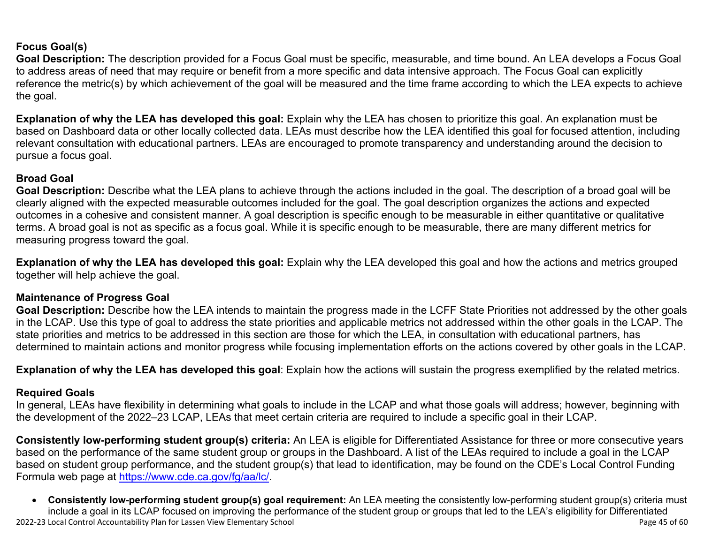#### **Focus Goal(s)**

**Goal Description:** The description provided for a Focus Goal must be specific, measurable, and time bound. An LEA develops a Focus Goal to address areas of need that may require or benefit from a more specific and data intensive approach. The Focus Goal can explicitly reference the metric(s) by which achievement of the goal will be measured and the time frame according to which the LEA expects to achieve the goal.

**Explanation of why the LEA has developed this goal:** Explain why the LEA has chosen to prioritize this goal. An explanation must be based on Dashboard data or other locally collected data. LEAs must describe how the LEA identified this goal for focused attention, including relevant consultation with educational partners. LEAs are encouraged to promote transparency and understanding around the decision to pursue a focus goal.

#### **Broad Goal**

Goal Description: Describe what the LEA plans to achieve through the actions included in the goal. The description of a broad goal will be clearly aligned with the expected measurable outcomes included for the goal. The goal description organizes the actions and expected outcomes in a cohesive and consistent manner. A goal description is specific enough to be measurable in either quantitative or qualitative terms. A broad goal is not as specific as a focus goal. While it is specific enough to be measurable, there are many different metrics for measuring progress toward the goal.

**Explanation of why the LEA has developed this goal:** Explain why the LEA developed this goal and how the actions and metrics grouped together will help achieve the goal.

#### **Maintenance of Progress Goal**

**Goal Description:** Describe how the LEA intends to maintain the progress made in the LCFF State Priorities not addressed by the other goals in the LCAP. Use this type of goal to address the state priorities and applicable metrics not addressed within the other goals in the LCAP. The state priorities and metrics to be addressed in this section are those for which the LEA, in consultation with educational partners, has determined to maintain actions and monitor progress while focusing implementation efforts on the actions covered by other goals in the LCAP.

**Explanation of why the LEA has developed this goal**: Explain how the actions will sustain the progress exemplified by the related metrics.

#### **Required Goals**

In general, LEAs have flexibility in determining what goals to include in the LCAP and what those goals will address; however, beginning with the development of the 2022–23 LCAP, LEAs that meet certain criteria are required to include a specific goal in their LCAP.

**Consistently low-performing student group(s) criteria:** An LEA is eligible for Differentiated Assistance for three or more consecutive years based on the performance of the same student group or groups in the Dashboard. A list of the LEAs required to include a goal in the LCAP based on student group performance, and the student group(s) that lead to identification, may be found on the CDE's Local Control Funding Formula web page at [https://www.cde.ca.gov/fg/aa/lc/.](https://www.cde.ca.gov/fg/aa/lc/)

2022-23 Local Control Accountability Plan for Lassen View Elementary School Page 45 of 60 • **Consistently low-performing student group(s) goal requirement:** An LEA meeting the consistently low-performing student group(s) criteria must include a goal in its LCAP focused on improving the performance of the student group or groups that led to the LEA's eligibility for Differentiated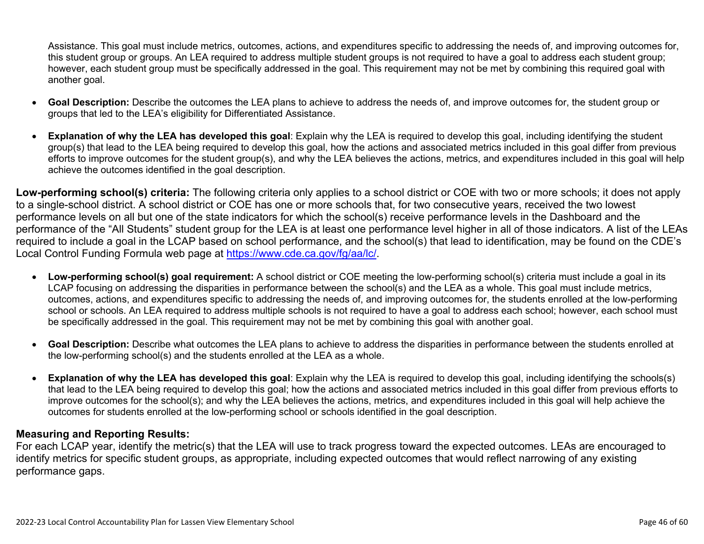Assistance. This goal must include metrics, outcomes, actions, and expenditures specific to addressing the needs of, and improving outcomes for, this student group or groups. An LEA required to address multiple student groups is not required to have a goal to address each student group; however, each student group must be specifically addressed in the goal. This requirement may not be met by combining this required goal with another goal.

- **Goal Description:** Describe the outcomes the LEA plans to achieve to address the needs of, and improve outcomes for, the student group or groups that led to the LEA's eligibility for Differentiated Assistance.
- **Explanation of why the LEA has developed this goal**: Explain why the LEA is required to develop this goal, including identifying the student group(s) that lead to the LEA being required to develop this goal, how the actions and associated metrics included in this goal differ from previous efforts to improve outcomes for the student group(s), and why the LEA believes the actions, metrics, and expenditures included in this goal will help achieve the outcomes identified in the goal description.

**Low-performing school(s) criteria:** The following criteria only applies to a school district or COE with two or more schools; it does not apply to a single-school district. A school district or COE has one or more schools that, for two consecutive years, received the two lowest performance levels on all but one of the state indicators for which the school(s) receive performance levels in the Dashboard and the performance of the "All Students" student group for the LEA is at least one performance level higher in all of those indicators. A list of the LEAs required to include a goal in the LCAP based on school performance, and the school(s) that lead to identification, may be found on the CDE's Local Control Funding Formula web page at [https://www.cde.ca.gov/fg/aa/lc/.](https://www.cde.ca.gov/fg/aa/lc/)

- **Low-performing school(s) goal requirement:** A school district or COE meeting the low-performing school(s) criteria must include a goal in its LCAP focusing on addressing the disparities in performance between the school(s) and the LEA as a whole. This goal must include metrics, outcomes, actions, and expenditures specific to addressing the needs of, and improving outcomes for, the students enrolled at the low-performing school or schools. An LEA required to address multiple schools is not required to have a goal to address each school; however, each school must be specifically addressed in the goal. This requirement may not be met by combining this goal with another goal.
- **Goal Description:** Describe what outcomes the LEA plans to achieve to address the disparities in performance between the students enrolled at the low-performing school(s) and the students enrolled at the LEA as a whole.
- **Explanation of why the LEA has developed this goal**: Explain why the LEA is required to develop this goal, including identifying the schools(s) that lead to the LEA being required to develop this goal; how the actions and associated metrics included in this goal differ from previous efforts to improve outcomes for the school(s); and why the LEA believes the actions, metrics, and expenditures included in this goal will help achieve the outcomes for students enrolled at the low-performing school or schools identified in the goal description.

#### **Measuring and Reporting Results:**

For each LCAP year, identify the metric(s) that the LEA will use to track progress toward the expected outcomes. LEAs are encouraged to identify metrics for specific student groups, as appropriate, including expected outcomes that would reflect narrowing of any existing performance gaps.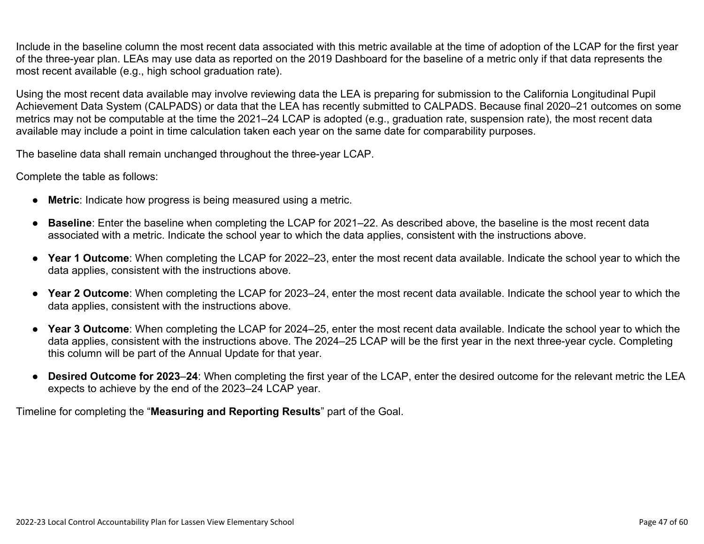Include in the baseline column the most recent data associated with this metric available at the time of adoption of the LCAP for the first year of the three-year plan. LEAs may use data as reported on the 2019 Dashboard for the baseline of a metric only if that data represents the most recent available (e.g., high school graduation rate).

Using the most recent data available may involve reviewing data the LEA is preparing for submission to the California Longitudinal Pupil Achievement Data System (CALPADS) or data that the LEA has recently submitted to CALPADS. Because final 2020–21 outcomes on some metrics may not be computable at the time the 2021–24 LCAP is adopted (e.g., graduation rate, suspension rate), the most recent data available may include a point in time calculation taken each year on the same date for comparability purposes.

The baseline data shall remain unchanged throughout the three-year LCAP.

Complete the table as follows:

- **Metric**: Indicate how progress is being measured using a metric.
- **Baseline**: Enter the baseline when completing the LCAP for 2021–22. As described above, the baseline is the most recent data associated with a metric. Indicate the school year to which the data applies, consistent with the instructions above.
- **Year 1 Outcome**: When completing the LCAP for 2022–23, enter the most recent data available. Indicate the school year to which the data applies, consistent with the instructions above.
- **Year 2 Outcome**: When completing the LCAP for 2023–24, enter the most recent data available. Indicate the school year to which the data applies, consistent with the instructions above.
- **Year 3 Outcome**: When completing the LCAP for 2024–25, enter the most recent data available. Indicate the school year to which the data applies, consistent with the instructions above. The 2024–25 LCAP will be the first year in the next three-year cycle. Completing this column will be part of the Annual Update for that year.
- **Desired Outcome for 2023**–**24**: When completing the first year of the LCAP, enter the desired outcome for the relevant metric the LEA expects to achieve by the end of the 2023–24 LCAP year.

Timeline for completing the "**Measuring and Reporting Results**" part of the Goal.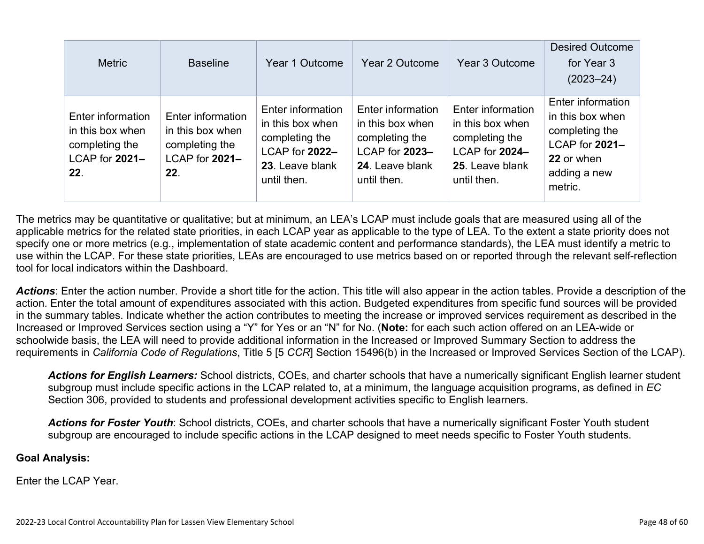| <b>Metric</b>                                                                    | <b>Baseline</b>                                                                  | Year 1 Outcome                                                                                              | Year 2 Outcome                                                                                              | Year 3 Outcome                                                                                              | <b>Desired Outcome</b><br>for Year 3<br>$(2023 - 24)$                                                              |
|----------------------------------------------------------------------------------|----------------------------------------------------------------------------------|-------------------------------------------------------------------------------------------------------------|-------------------------------------------------------------------------------------------------------------|-------------------------------------------------------------------------------------------------------------|--------------------------------------------------------------------------------------------------------------------|
| Enter information<br>in this box when<br>completing the<br>LCAP for 2021-<br>22. | Enter information<br>in this box when<br>completing the<br>LCAP for 2021-<br>22. | Enter information<br>in this box when<br>completing the<br>LCAP for 2022-<br>23. Leave blank<br>until then. | Enter information<br>in this box when<br>completing the<br>LCAP for 2023-<br>24. Leave blank<br>until then. | Enter information<br>in this box when<br>completing the<br>LCAP for 2024-<br>25. Leave blank<br>until then. | Enter information<br>in this box when<br>completing the<br>LCAP for 2021-<br>22 or when<br>adding a new<br>metric. |

The metrics may be quantitative or qualitative; but at minimum, an LEA's LCAP must include goals that are measured using all of the applicable metrics for the related state priorities, in each LCAP year as applicable to the type of LEA. To the extent a state priority does not specify one or more metrics (e.g., implementation of state academic content and performance standards), the LEA must identify a metric to use within the LCAP. For these state priorities, LEAs are encouraged to use metrics based on or reported through the relevant self-reflection tool for local indicators within the Dashboard.

*Actions*: Enter the action number. Provide a short title for the action. This title will also appear in the action tables. Provide a description of the action. Enter the total amount of expenditures associated with this action. Budgeted expenditures from specific fund sources will be provided in the summary tables. Indicate whether the action contributes to meeting the increase or improved services requirement as described in the Increased or Improved Services section using a "Y" for Yes or an "N" for No. (**Note:** for each such action offered on an LEA-wide or schoolwide basis, the LEA will need to provide additional information in the Increased or Improved Summary Section to address the requirements in *California Code of Regulations*, Title 5 [5 *CCR*] Section 15496(b) in the Increased or Improved Services Section of the LCAP).

*Actions for English Learners:* School districts, COEs, and charter schools that have a numerically significant English learner student subgroup must include specific actions in the LCAP related to, at a minimum, the language acquisition programs, as defined in *EC* Section 306, provided to students and professional development activities specific to English learners.

*Actions for Foster Youth*: School districts, COEs, and charter schools that have a numerically significant Foster Youth student subgroup are encouraged to include specific actions in the LCAP designed to meet needs specific to Foster Youth students.

#### **Goal Analysis:**

Enter the LCAP Year.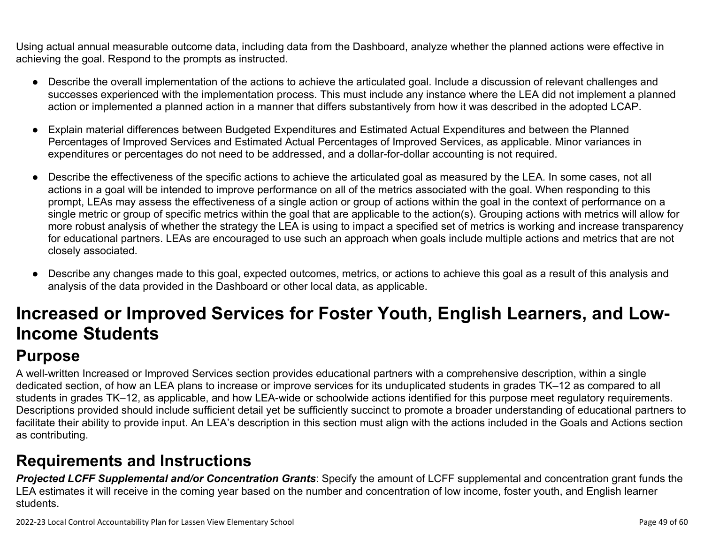Using actual annual measurable outcome data, including data from the Dashboard, analyze whether the planned actions were effective in achieving the goal. Respond to the prompts as instructed.

- Describe the overall implementation of the actions to achieve the articulated goal. Include a discussion of relevant challenges and successes experienced with the implementation process. This must include any instance where the LEA did not implement a planned action or implemented a planned action in a manner that differs substantively from how it was described in the adopted LCAP.
- Explain material differences between Budgeted Expenditures and Estimated Actual Expenditures and between the Planned Percentages of Improved Services and Estimated Actual Percentages of Improved Services, as applicable. Minor variances in expenditures or percentages do not need to be addressed, and a dollar-for-dollar accounting is not required.
- Describe the effectiveness of the specific actions to achieve the articulated goal as measured by the LEA. In some cases, not all actions in a goal will be intended to improve performance on all of the metrics associated with the goal. When responding to this prompt, LEAs may assess the effectiveness of a single action or group of actions within the goal in the context of performance on a single metric or group of specific metrics within the goal that are applicable to the action(s). Grouping actions with metrics will allow for more robust analysis of whether the strategy the LEA is using to impact a specified set of metrics is working and increase transparency for educational partners. LEAs are encouraged to use such an approach when goals include multiple actions and metrics that are not closely associated.
- Describe any changes made to this goal, expected outcomes, metrics, or actions to achieve this goal as a result of this analysis and analysis of the data provided in the Dashboard or other local data, as applicable.

# **Increased or Improved Services for Foster Youth, English Learners, and Low-Income Students**

## **Purpose**

A well-written Increased or Improved Services section provides educational partners with a comprehensive description, within a single dedicated section, of how an LEA plans to increase or improve services for its unduplicated students in grades TK–12 as compared to all students in grades TK–12, as applicable, and how LEA-wide or schoolwide actions identified for this purpose meet regulatory requirements. Descriptions provided should include sufficient detail yet be sufficiently succinct to promote a broader understanding of educational partners to facilitate their ability to provide input. An LEA's description in this section must align with the actions included in the Goals and Actions section as contributing.

## **Requirements and Instructions**

*Projected LCFF Supplemental and/or Concentration Grants*: Specify the amount of LCFF supplemental and concentration grant funds the LEA estimates it will receive in the coming year based on the number and concentration of low income, foster youth, and English learner students.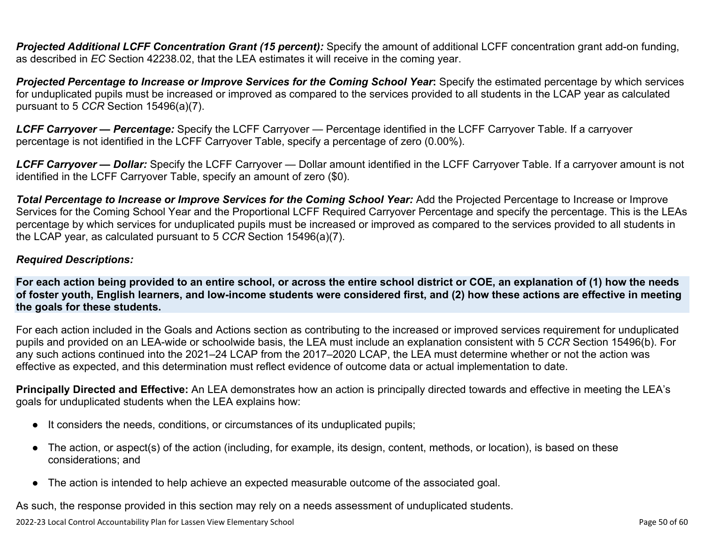**Projected Additional LCFF Concentration Grant (15 percent):** Specify the amount of additional LCFF concentration grant add-on funding, as described in *EC* Section 42238.02, that the LEA estimates it will receive in the coming year.

*Projected Percentage to Increase or Improve Services for the Coming School Year***:** Specify the estimated percentage by which services for unduplicated pupils must be increased or improved as compared to the services provided to all students in the LCAP year as calculated pursuant to 5 *CCR* Section 15496(a)(7).

*LCFF Carryover — Percentage:* Specify the LCFF Carryover — Percentage identified in the LCFF Carryover Table. If a carryover percentage is not identified in the LCFF Carryover Table, specify a percentage of zero (0.00%).

*LCFF Carryover — Dollar:* Specify the LCFF Carryover — Dollar amount identified in the LCFF Carryover Table. If a carryover amount is not identified in the LCFF Carryover Table, specify an amount of zero (\$0).

**Total Percentage to Increase or Improve Services for the Coming School Year:** Add the Projected Percentage to Increase or Improve Services for the Coming School Year and the Proportional LCFF Required Carryover Percentage and specify the percentage. This is the LEAs percentage by which services for unduplicated pupils must be increased or improved as compared to the services provided to all students in the LCAP year, as calculated pursuant to 5 *CCR* Section 15496(a)(7).

#### *Required Descriptions:*

**For each action being provided to an entire school, or across the entire school district or COE, an explanation of (1) how the needs of foster youth, English learners, and low-income students were considered first, and (2) how these actions are effective in meeting the goals for these students.**

For each action included in the Goals and Actions section as contributing to the increased or improved services requirement for unduplicated pupils and provided on an LEA-wide or schoolwide basis, the LEA must include an explanation consistent with 5 *CCR* Section 15496(b). For any such actions continued into the 2021–24 LCAP from the 2017–2020 LCAP, the LEA must determine whether or not the action was effective as expected, and this determination must reflect evidence of outcome data or actual implementation to date.

**Principally Directed and Effective:** An LEA demonstrates how an action is principally directed towards and effective in meeting the LEA's goals for unduplicated students when the LEA explains how:

- It considers the needs, conditions, or circumstances of its unduplicated pupils;
- The action, or aspect(s) of the action (including, for example, its design, content, methods, or location), is based on these considerations; and
- The action is intended to help achieve an expected measurable outcome of the associated goal.

As such, the response provided in this section may rely on a needs assessment of unduplicated students.

2022-23 Local Control Accountability Plan for Lassen View Elementary School Page 50 of 60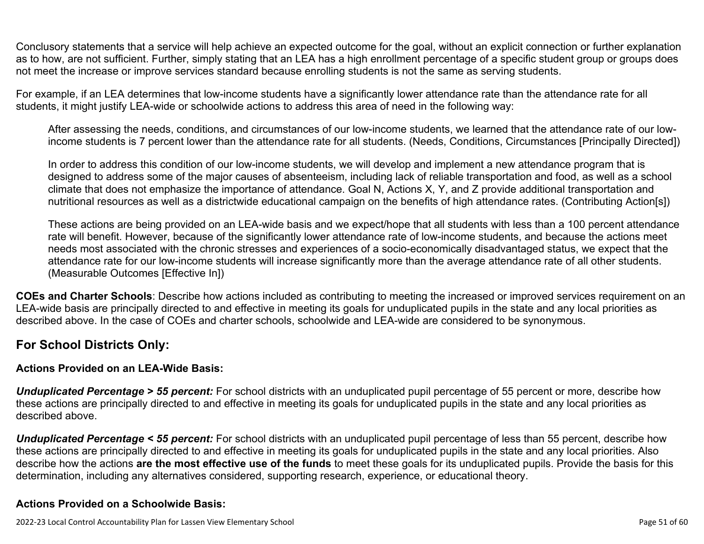Conclusory statements that a service will help achieve an expected outcome for the goal, without an explicit connection or further explanation as to how, are not sufficient. Further, simply stating that an LEA has a high enrollment percentage of a specific student group or groups does not meet the increase or improve services standard because enrolling students is not the same as serving students.

For example, if an LEA determines that low-income students have a significantly lower attendance rate than the attendance rate for all students, it might justify LEA-wide or schoolwide actions to address this area of need in the following way:

After assessing the needs, conditions, and circumstances of our low-income students, we learned that the attendance rate of our lowincome students is 7 percent lower than the attendance rate for all students. (Needs, Conditions, Circumstances [Principally Directed])

In order to address this condition of our low-income students, we will develop and implement a new attendance program that is designed to address some of the major causes of absenteeism, including lack of reliable transportation and food, as well as a school climate that does not emphasize the importance of attendance. Goal N, Actions X, Y, and Z provide additional transportation and nutritional resources as well as a districtwide educational campaign on the benefits of high attendance rates. (Contributing Action[s])

These actions are being provided on an LEA-wide basis and we expect/hope that all students with less than a 100 percent attendance rate will benefit. However, because of the significantly lower attendance rate of low-income students, and because the actions meet needs most associated with the chronic stresses and experiences of a socio-economically disadvantaged status, we expect that the attendance rate for our low-income students will increase significantly more than the average attendance rate of all other students. (Measurable Outcomes [Effective In])

**COEs and Charter Schools**: Describe how actions included as contributing to meeting the increased or improved services requirement on an LEA-wide basis are principally directed to and effective in meeting its goals for unduplicated pupils in the state and any local priorities as described above. In the case of COEs and charter schools, schoolwide and LEA-wide are considered to be synonymous.

#### **For School Districts Only:**

#### **Actions Provided on an LEA-Wide Basis:**

*Unduplicated Percentage > 55 percent:* For school districts with an unduplicated pupil percentage of 55 percent or more, describe how these actions are principally directed to and effective in meeting its goals for unduplicated pupils in the state and any local priorities as described above.

*Unduplicated Percentage < 55 percent:* For school districts with an unduplicated pupil percentage of less than 55 percent, describe how these actions are principally directed to and effective in meeting its goals for unduplicated pupils in the state and any local priorities. Also describe how the actions **are the most effective use of the funds** to meet these goals for its unduplicated pupils. Provide the basis for this determination, including any alternatives considered, supporting research, experience, or educational theory.

#### **Actions Provided on a Schoolwide Basis:**

2022-23 Local Control Accountability Plan for Lassen View Elementary School Page 51 of 60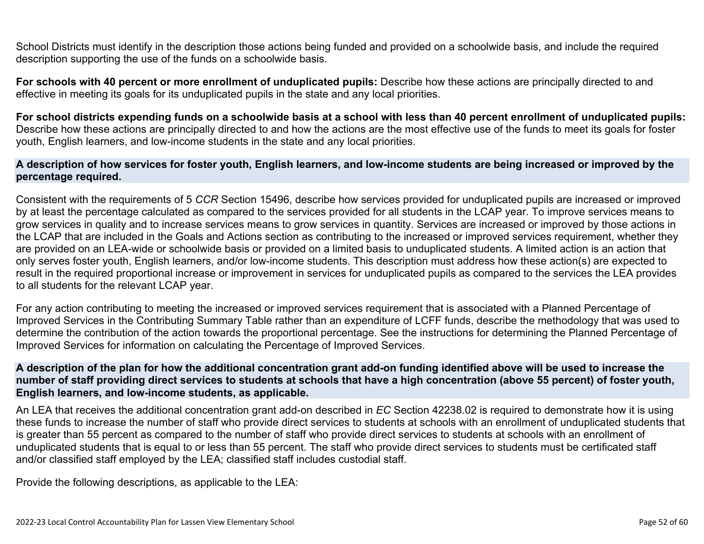School Districts must identify in the description those actions being funded and provided on a schoolwide basis, and include the required description supporting the use of the funds on a schoolwide basis.

**For schools with 40 percent or more enrollment of unduplicated pupils:** Describe how these actions are principally directed to and effective in meeting its goals for its unduplicated pupils in the state and any local priorities.

**For school districts expending funds on a schoolwide basis at a school with less than 40 percent enrollment of unduplicated pupils:** Describe how these actions are principally directed to and how the actions are the most effective use of the funds to meet its goals for foster youth, English learners, and low-income students in the state and any local priorities.

#### **A description of how services for foster youth, English learners, and low-income students are being increased or improved by the percentage required.**

Consistent with the requirements of 5 *CCR* Section 15496, describe how services provided for unduplicated pupils are increased or improved by at least the percentage calculated as compared to the services provided for all students in the LCAP year. To improve services means to grow services in quality and to increase services means to grow services in quantity. Services are increased or improved by those actions in the LCAP that are included in the Goals and Actions section as contributing to the increased or improved services requirement, whether they are provided on an LEA-wide or schoolwide basis or provided on a limited basis to unduplicated students. A limited action is an action that only serves foster youth, English learners, and/or low-income students. This description must address how these action(s) are expected to result in the required proportional increase or improvement in services for unduplicated pupils as compared to the services the LEA provides to all students for the relevant LCAP year.

For any action contributing to meeting the increased or improved services requirement that is associated with a Planned Percentage of Improved Services in the Contributing Summary Table rather than an expenditure of LCFF funds, describe the methodology that was used to determine the contribution of the action towards the proportional percentage. See the instructions for determining the Planned Percentage of Improved Services for information on calculating the Percentage of Improved Services.

#### **A description of the plan for how the additional concentration grant add-on funding identified above will be used to increase the number of staff providing direct services to students at schools that have a high concentration (above 55 percent) of foster youth, English learners, and low-income students, as applicable.**

An LEA that receives the additional concentration grant add-on described in *EC* Section 42238.02 is required to demonstrate how it is using these funds to increase the number of staff who provide direct services to students at schools with an enrollment of unduplicated students that is greater than 55 percent as compared to the number of staff who provide direct services to students at schools with an enrollment of unduplicated students that is equal to or less than 55 percent. The staff who provide direct services to students must be certificated staff and/or classified staff employed by the LEA; classified staff includes custodial staff.

Provide the following descriptions, as applicable to the LEA: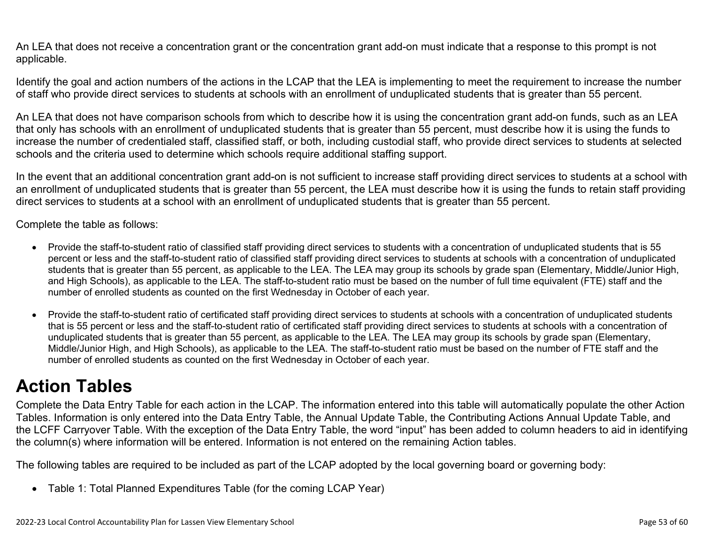An LEA that does not receive a concentration grant or the concentration grant add-on must indicate that a response to this prompt is not applicable.

Identify the goal and action numbers of the actions in the LCAP that the LEA is implementing to meet the requirement to increase the number of staff who provide direct services to students at schools with an enrollment of unduplicated students that is greater than 55 percent.

An LEA that does not have comparison schools from which to describe how it is using the concentration grant add-on funds, such as an LEA that only has schools with an enrollment of unduplicated students that is greater than 55 percent, must describe how it is using the funds to increase the number of credentialed staff, classified staff, or both, including custodial staff, who provide direct services to students at selected schools and the criteria used to determine which schools require additional staffing support.

In the event that an additional concentration grant add-on is not sufficient to increase staff providing direct services to students at a school with an enrollment of unduplicated students that is greater than 55 percent, the LEA must describe how it is using the funds to retain staff providing direct services to students at a school with an enrollment of unduplicated students that is greater than 55 percent.

Complete the table as follows:

- Provide the staff-to-student ratio of classified staff providing direct services to students with a concentration of unduplicated students that is 55 percent or less and the staff-to-student ratio of classified staff providing direct services to students at schools with a concentration of unduplicated students that is greater than 55 percent, as applicable to the LEA. The LEA may group its schools by grade span (Elementary, Middle/Junior High, and High Schools), as applicable to the LEA. The staff-to-student ratio must be based on the number of full time equivalent (FTE) staff and the number of enrolled students as counted on the first Wednesday in October of each year.
- Provide the staff-to-student ratio of certificated staff providing direct services to students at schools with a concentration of unduplicated students that is 55 percent or less and the staff-to-student ratio of certificated staff providing direct services to students at schools with a concentration of unduplicated students that is greater than 55 percent, as applicable to the LEA. The LEA may group its schools by grade span (Elementary, Middle/Junior High, and High Schools), as applicable to the LEA. The staff-to-student ratio must be based on the number of FTE staff and the number of enrolled students as counted on the first Wednesday in October of each year.

## **Action Tables**

Complete the Data Entry Table for each action in the LCAP. The information entered into this table will automatically populate the other Action Tables. Information is only entered into the Data Entry Table, the Annual Update Table, the Contributing Actions Annual Update Table, and the LCFF Carryover Table. With the exception of the Data Entry Table, the word "input" has been added to column headers to aid in identifying the column(s) where information will be entered. Information is not entered on the remaining Action tables.

The following tables are required to be included as part of the LCAP adopted by the local governing board or governing body:

• Table 1: Total Planned Expenditures Table (for the coming LCAP Year)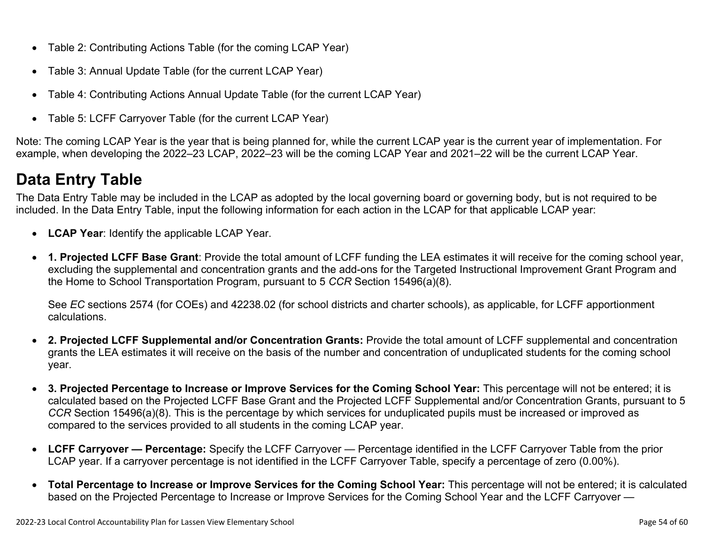- Table 2: Contributing Actions Table (for the coming LCAP Year)
- Table 3: Annual Update Table (for the current LCAP Year)
- Table 4: Contributing Actions Annual Update Table (for the current LCAP Year)
- Table 5: LCFF Carryover Table (for the current LCAP Year)

Note: The coming LCAP Year is the year that is being planned for, while the current LCAP year is the current year of implementation. For example, when developing the 2022–23 LCAP, 2022–23 will be the coming LCAP Year and 2021–22 will be the current LCAP Year.

## **Data Entry Table**

The Data Entry Table may be included in the LCAP as adopted by the local governing board or governing body, but is not required to be included. In the Data Entry Table, input the following information for each action in the LCAP for that applicable LCAP year:

- **LCAP Year**: Identify the applicable LCAP Year.
- **1. Projected LCFF Base Grant**: Provide the total amount of LCFF funding the LEA estimates it will receive for the coming school year, excluding the supplemental and concentration grants and the add-ons for the Targeted Instructional Improvement Grant Program and the Home to School Transportation Program, pursuant to 5 *CCR* Section 15496(a)(8).

See *EC* sections 2574 (for COEs) and 42238.02 (for school districts and charter schools), as applicable, for LCFF apportionment calculations.

- **2. Projected LCFF Supplemental and/or Concentration Grants:** Provide the total amount of LCFF supplemental and concentration grants the LEA estimates it will receive on the basis of the number and concentration of unduplicated students for the coming school year.
- **3. Projected Percentage to Increase or Improve Services for the Coming School Year:** This percentage will not be entered; it is calculated based on the Projected LCFF Base Grant and the Projected LCFF Supplemental and/or Concentration Grants, pursuant to 5 *CCR* Section 15496(a)(8). This is the percentage by which services for unduplicated pupils must be increased or improved as compared to the services provided to all students in the coming LCAP year.
- **LCFF Carryover Percentage:** Specify the LCFF Carryover Percentage identified in the LCFF Carryover Table from the prior LCAP year. If a carryover percentage is not identified in the LCFF Carryover Table, specify a percentage of zero (0.00%).
- **Total Percentage to Increase or Improve Services for the Coming School Year:** This percentage will not be entered; it is calculated based on the Projected Percentage to Increase or Improve Services for the Coming School Year and the LCFF Carryover —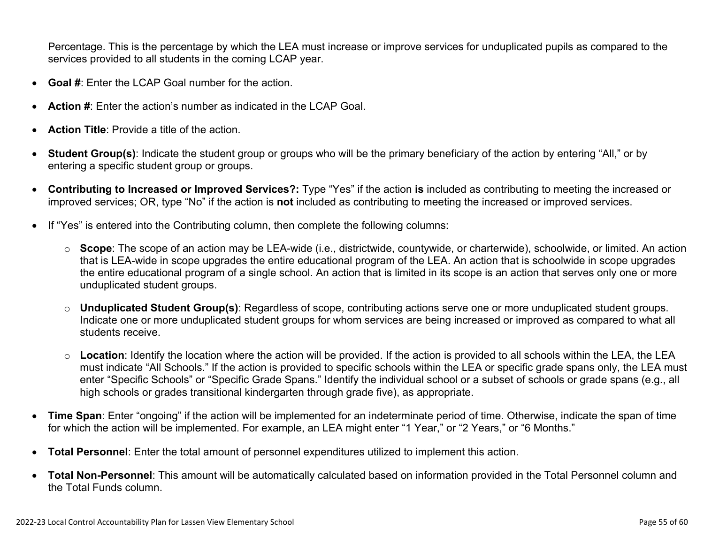Percentage. This is the percentage by which the LEA must increase or improve services for unduplicated pupils as compared to the services provided to all students in the coming LCAP year.

- **Goal #**: Enter the LCAP Goal number for the action.
- **Action #**: Enter the action's number as indicated in the LCAP Goal.
- **Action Title**: Provide a title of the action.
- **Student Group(s)**: Indicate the student group or groups who will be the primary beneficiary of the action by entering "All," or by entering a specific student group or groups.
- **Contributing to Increased or Improved Services?:** Type "Yes" if the action **is** included as contributing to meeting the increased or improved services; OR, type "No" if the action is **not** included as contributing to meeting the increased or improved services.
- If "Yes" is entered into the Contributing column, then complete the following columns:
	- o **Scope**: The scope of an action may be LEA-wide (i.e., districtwide, countywide, or charterwide), schoolwide, or limited. An action that is LEA-wide in scope upgrades the entire educational program of the LEA. An action that is schoolwide in scope upgrades the entire educational program of a single school. An action that is limited in its scope is an action that serves only one or more unduplicated student groups.
	- o **Unduplicated Student Group(s)**: Regardless of scope, contributing actions serve one or more unduplicated student groups. Indicate one or more unduplicated student groups for whom services are being increased or improved as compared to what all students receive.
	- o **Location**: Identify the location where the action will be provided. If the action is provided to all schools within the LEA, the LEA must indicate "All Schools." If the action is provided to specific schools within the LEA or specific grade spans only, the LEA must enter "Specific Schools" or "Specific Grade Spans." Identify the individual school or a subset of schools or grade spans (e.g., all high schools or grades transitional kindergarten through grade five), as appropriate.
- **Time Span**: Enter "ongoing" if the action will be implemented for an indeterminate period of time. Otherwise, indicate the span of time for which the action will be implemented. For example, an LEA might enter "1 Year," or "2 Years," or "6 Months."
- **Total Personnel**: Enter the total amount of personnel expenditures utilized to implement this action.
- **Total Non-Personnel**: This amount will be automatically calculated based on information provided in the Total Personnel column and the Total Funds column.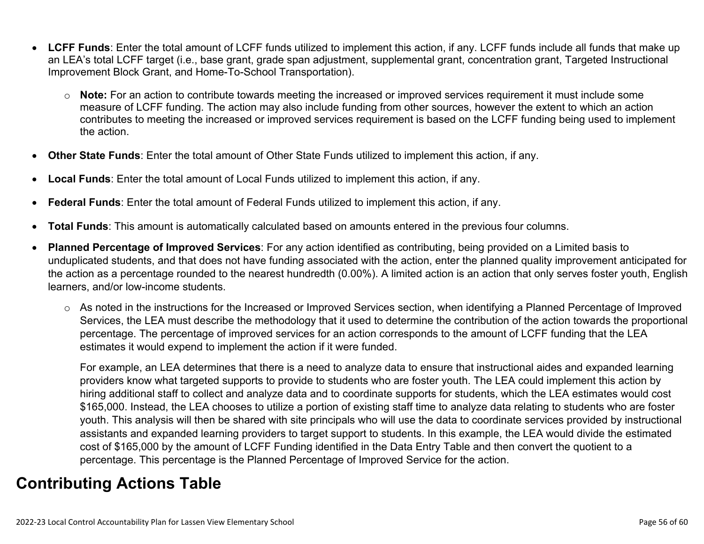- **LCFF Funds**: Enter the total amount of LCFF funds utilized to implement this action, if any. LCFF funds include all funds that make up an LEA's total LCFF target (i.e., base grant, grade span adjustment, supplemental grant, concentration grant, Targeted Instructional Improvement Block Grant, and Home-To-School Transportation).
	- o **Note:** For an action to contribute towards meeting the increased or improved services requirement it must include some measure of LCFF funding. The action may also include funding from other sources, however the extent to which an action contributes to meeting the increased or improved services requirement is based on the LCFF funding being used to implement the action.
- **Other State Funds**: Enter the total amount of Other State Funds utilized to implement this action, if any.
- **Local Funds**: Enter the total amount of Local Funds utilized to implement this action, if any.
- **Federal Funds**: Enter the total amount of Federal Funds utilized to implement this action, if any.
- **Total Funds**: This amount is automatically calculated based on amounts entered in the previous four columns.
- **Planned Percentage of Improved Services**: For any action identified as contributing, being provided on a Limited basis to unduplicated students, and that does not have funding associated with the action, enter the planned quality improvement anticipated for the action as a percentage rounded to the nearest hundredth (0.00%). A limited action is an action that only serves foster youth, English learners, and/or low-income students.
	- o As noted in the instructions for the Increased or Improved Services section, when identifying a Planned Percentage of Improved Services, the LEA must describe the methodology that it used to determine the contribution of the action towards the proportional percentage. The percentage of improved services for an action corresponds to the amount of LCFF funding that the LEA estimates it would expend to implement the action if it were funded.

For example, an LEA determines that there is a need to analyze data to ensure that instructional aides and expanded learning providers know what targeted supports to provide to students who are foster youth. The LEA could implement this action by hiring additional staff to collect and analyze data and to coordinate supports for students, which the LEA estimates would cost \$165,000. Instead, the LEA chooses to utilize a portion of existing staff time to analyze data relating to students who are foster youth. This analysis will then be shared with site principals who will use the data to coordinate services provided by instructional assistants and expanded learning providers to target support to students. In this example, the LEA would divide the estimated cost of \$165,000 by the amount of LCFF Funding identified in the Data Entry Table and then convert the quotient to a percentage. This percentage is the Planned Percentage of Improved Service for the action.

## **Contributing Actions Table**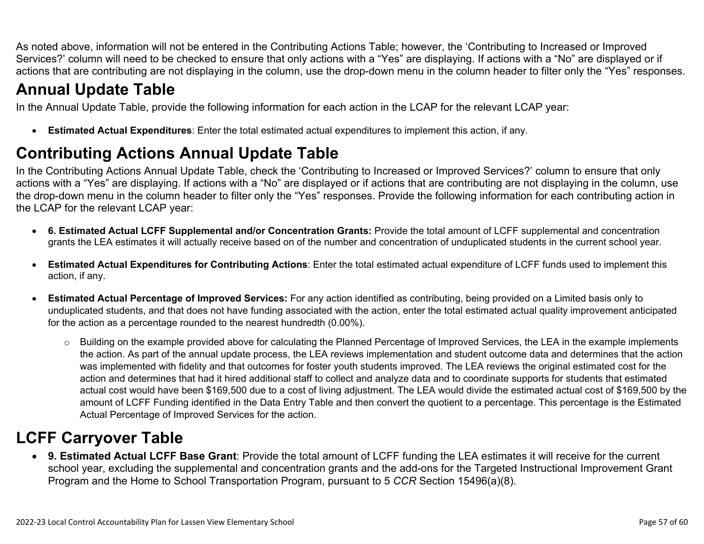As noted above, information will not be entered in the Contributing Actions Table; however, the 'Contributing to Increased or Improved Services?' column will need to be checked to ensure that only actions with a "Yes" are displaying. If actions with a "No" are displayed or if actions that are contributing are not displaying in the column, use the drop-down menu in the column header to filter only the "Yes" responses.

## **Annual Update Table**

In the Annual Update Table, provide the following information for each action in the LCAP for the relevant LCAP year:

• **Estimated Actual Expenditures**: Enter the total estimated actual expenditures to implement this action, if any.

## **Contributing Actions Annual Update Table**

In the Contributing Actions Annual Update Table, check the 'Contributing to Increased or Improved Services?' column to ensure that only actions with a "Yes" are displaying. If actions with a "No" are displayed or if actions that are contributing are not displaying in the column, use the drop-down menu in the column header to filter only the "Yes" responses. Provide the following information for each contributing action in the LCAP for the relevant LCAP year:

- **6. Estimated Actual LCFF Supplemental and/or Concentration Grants:** Provide the total amount of LCFF supplemental and concentration grants the LEA estimates it will actually receive based on of the number and concentration of unduplicated students in the current school year.
- **Estimated Actual Expenditures for Contributing Actions**: Enter the total estimated actual expenditure of LCFF funds used to implement this action, if any.
- **Estimated Actual Percentage of Improved Services:** For any action identified as contributing, being provided on a Limited basis only to unduplicated students, and that does not have funding associated with the action, enter the total estimated actual quality improvement anticipated for the action as a percentage rounded to the nearest hundredth (0.00%).
	- o Building on the example provided above for calculating the Planned Percentage of Improved Services, the LEA in the example implements the action. As part of the annual update process, the LEA reviews implementation and student outcome data and determines that the action was implemented with fidelity and that outcomes for foster youth students improved. The LEA reviews the original estimated cost for the action and determines that had it hired additional staff to collect and analyze data and to coordinate supports for students that estimated actual cost would have been \$169,500 due to a cost of living adjustment. The LEA would divide the estimated actual cost of \$169,500 by the amount of LCFF Funding identified in the Data Entry Table and then convert the quotient to a percentage. This percentage is the Estimated Actual Percentage of Improved Services for the action.

## **LCFF Carryover Table**

• **9. Estimated Actual LCFF Base Grant**: Provide the total amount of LCFF funding the LEA estimates it will receive for the current school year, excluding the supplemental and concentration grants and the add-ons for the Targeted Instructional Improvement Grant Program and the Home to School Transportation Program, pursuant to 5 *CCR* Section 15496(a)(8).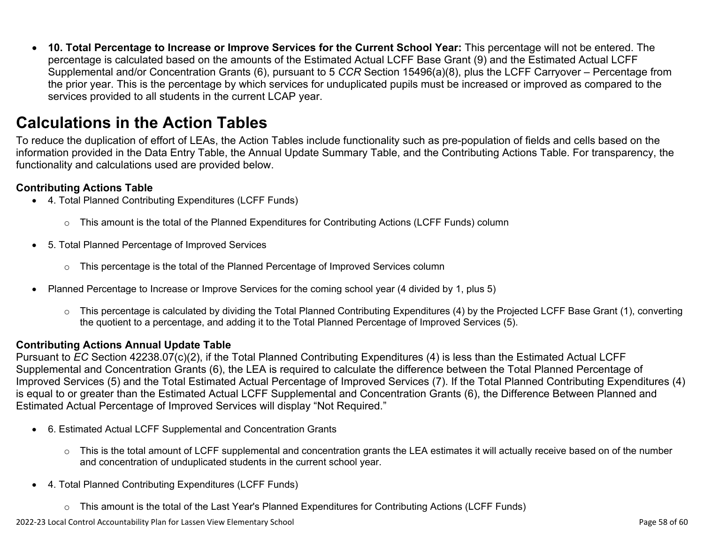• **10. Total Percentage to Increase or Improve Services for the Current School Year:** This percentage will not be entered. The percentage is calculated based on the amounts of the Estimated Actual LCFF Base Grant (9) and the Estimated Actual LCFF Supplemental and/or Concentration Grants (6), pursuant to 5 *CCR* Section 15496(a)(8), plus the LCFF Carryover – Percentage from the prior year. This is the percentage by which services for unduplicated pupils must be increased or improved as compared to the services provided to all students in the current LCAP year.

### **Calculations in the Action Tables**

To reduce the duplication of effort of LEAs, the Action Tables include functionality such as pre-population of fields and cells based on the information provided in the Data Entry Table, the Annual Update Summary Table, and the Contributing Actions Table. For transparency, the functionality and calculations used are provided below.

#### **Contributing Actions Table**

- 4. Total Planned Contributing Expenditures (LCFF Funds)
	- $\circ$  This amount is the total of the Planned Expenditures for Contributing Actions (LCFF Funds) column
- 5. Total Planned Percentage of Improved Services
	- $\circ$  This percentage is the total of the Planned Percentage of Improved Services column
- Planned Percentage to Increase or Improve Services for the coming school year (4 divided by 1, plus 5)
	- o This percentage is calculated by dividing the Total Planned Contributing Expenditures (4) by the Projected LCFF Base Grant (1), converting the quotient to a percentage, and adding it to the Total Planned Percentage of Improved Services (5).

#### **Contributing Actions Annual Update Table**

Pursuant to *EC* Section 42238.07(c)(2), if the Total Planned Contributing Expenditures (4) is less than the Estimated Actual LCFF Supplemental and Concentration Grants (6), the LEA is required to calculate the difference between the Total Planned Percentage of Improved Services (5) and the Total Estimated Actual Percentage of Improved Services (7). If the Total Planned Contributing Expenditures (4) is equal to or greater than the Estimated Actual LCFF Supplemental and Concentration Grants (6), the Difference Between Planned and Estimated Actual Percentage of Improved Services will display "Not Required."

- 6. Estimated Actual LCFF Supplemental and Concentration Grants
	- o This is the total amount of LCFF supplemental and concentration grants the LEA estimates it will actually receive based on of the number and concentration of unduplicated students in the current school year.
- 4. Total Planned Contributing Expenditures (LCFF Funds)
	- $\circ$  This amount is the total of the Last Year's Planned Expenditures for Contributing Actions (LCFF Funds)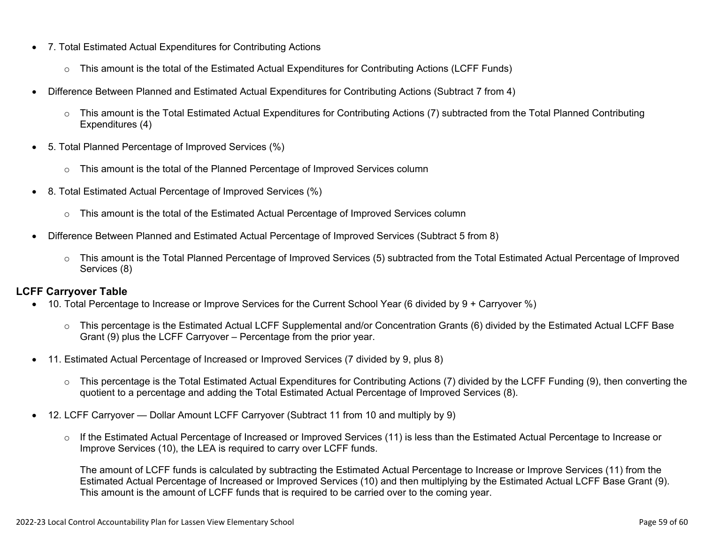- 7. Total Estimated Actual Expenditures for Contributing Actions
	- o This amount is the total of the Estimated Actual Expenditures for Contributing Actions (LCFF Funds)
- Difference Between Planned and Estimated Actual Expenditures for Contributing Actions (Subtract 7 from 4)
	- $\circ$  This amount is the Total Estimated Actual Expenditures for Contributing Actions (7) subtracted from the Total Planned Contributing Expenditures (4)
- 5. Total Planned Percentage of Improved Services (%)
	- $\circ$  This amount is the total of the Planned Percentage of Improved Services column
- 8. Total Estimated Actual Percentage of Improved Services (%)
	- o This amount is the total of the Estimated Actual Percentage of Improved Services column
- Difference Between Planned and Estimated Actual Percentage of Improved Services (Subtract 5 from 8)
	- o This amount is the Total Planned Percentage of Improved Services (5) subtracted from the Total Estimated Actual Percentage of Improved Services (8)

#### **LCFF Carryover Table**

- 10. Total Percentage to Increase or Improve Services for the Current School Year (6 divided by 9 + Carryover %)
	- $\circ$  This percentage is the Estimated Actual LCFF Supplemental and/or Concentration Grants (6) divided by the Estimated Actual LCFF Base Grant (9) plus the LCFF Carryover – Percentage from the prior year.
- 11. Estimated Actual Percentage of Increased or Improved Services (7 divided by 9, plus 8)
	- o This percentage is the Total Estimated Actual Expenditures for Contributing Actions (7) divided by the LCFF Funding (9), then converting the quotient to a percentage and adding the Total Estimated Actual Percentage of Improved Services (8).
- 12. LCFF Carryover Dollar Amount LCFF Carryover (Subtract 11 from 10 and multiply by 9)
	- $\circ$  If the Estimated Actual Percentage of Increased or Improved Services (11) is less than the Estimated Actual Percentage to Increase or Improve Services (10), the LEA is required to carry over LCFF funds.

The amount of LCFF funds is calculated by subtracting the Estimated Actual Percentage to Increase or Improve Services (11) from the Estimated Actual Percentage of Increased or Improved Services (10) and then multiplying by the Estimated Actual LCFF Base Grant (9). This amount is the amount of LCFF funds that is required to be carried over to the coming year.